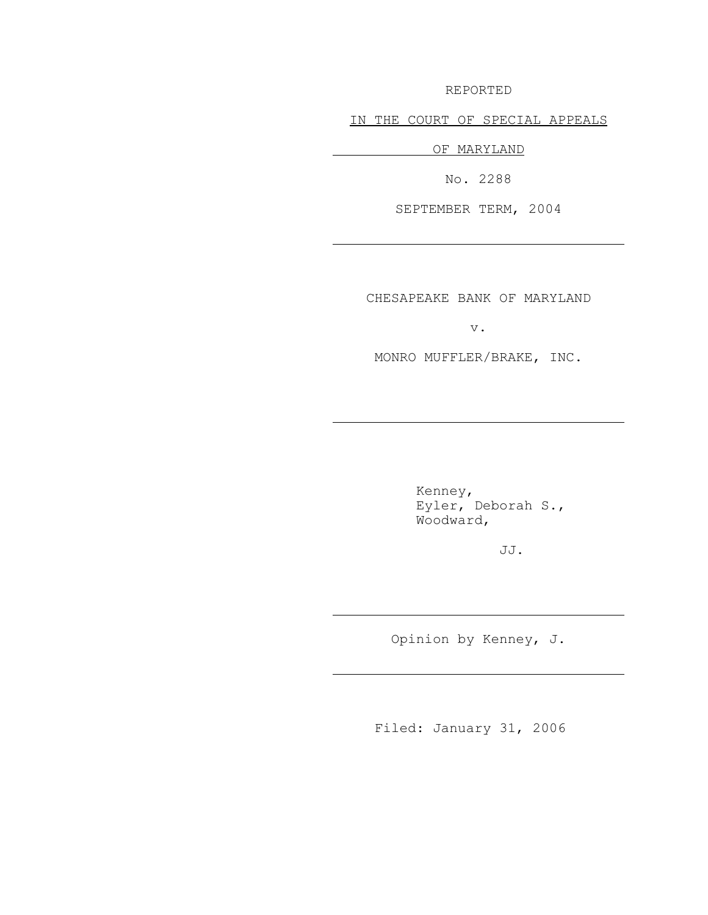REPORTED

IN THE COURT OF SPECIAL APPEALS

OF MARYLAND

J.

J.

J.

J.

No. 2288

SEPTEMBER TERM, 2004

CHESAPEAKE BANK OF MARYLAND

v.

MONRO MUFFLER/BRAKE, INC.

Kenney, Eyler, Deborah S., Woodward,

JJ.

Opinion by Kenney, J.

Filed: January 31, 2006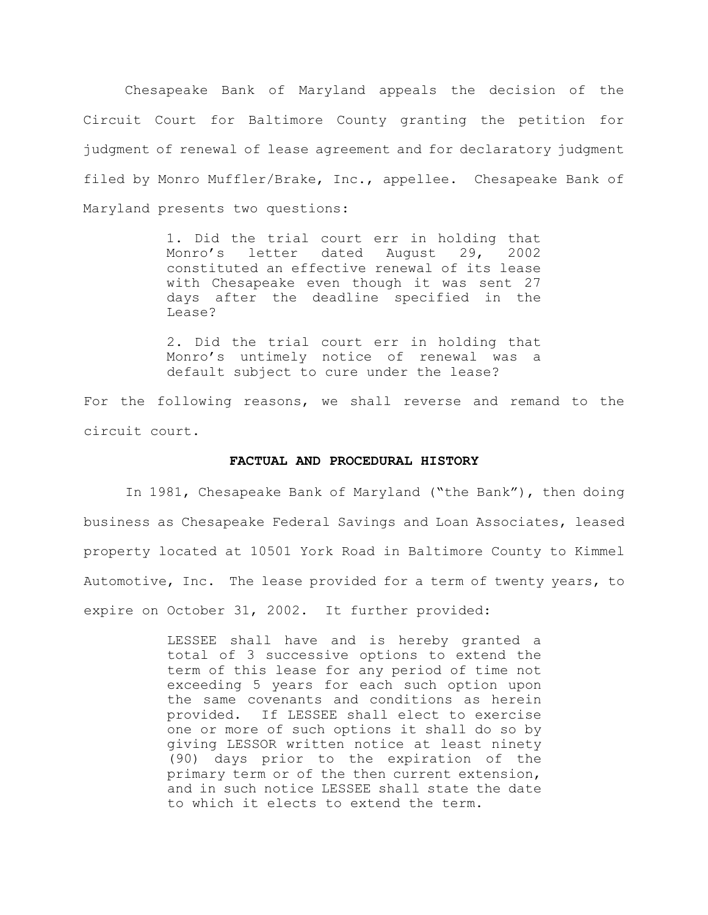Chesapeake Bank of Maryland appeals the decision of the Circuit Court for Baltimore County granting the petition for judgment of renewal of lease agreement and for declaratory judgment filed by Monro Muffler/Brake, Inc., appellee. Chesapeake Bank of Maryland presents two questions:

> 1. Did the trial court err in holding that Monro's letter dated August 29, 2002 constituted an effective renewal of its lease with Chesapeake even though it was sent 27 days after the deadline specified in the Lease?

> 2. Did the trial court err in holding that Monro's untimely notice of renewal was a default subject to cure under the lease?

For the following reasons, we shall reverse and remand to the circuit court.

#### **FACTUAL AND PROCEDURAL HISTORY**

In 1981, Chesapeake Bank of Maryland ("the Bank"), then doing business as Chesapeake Federal Savings and Loan Associates, leased property located at 10501 York Road in Baltimore County to Kimmel Automotive, Inc. The lease provided for a term of twenty years, to expire on October 31, 2002. It further provided:

> LESSEE shall have and is hereby granted a total of 3 successive options to extend the term of this lease for any period of time not exceeding 5 years for each such option upon the same covenants and conditions as herein provided. If LESSEE shall elect to exercise one or more of such options it shall do so by giving LESSOR written notice at least ninety (90) days prior to the expiration of the primary term or of the then current extension, and in such notice LESSEE shall state the date to which it elects to extend the term.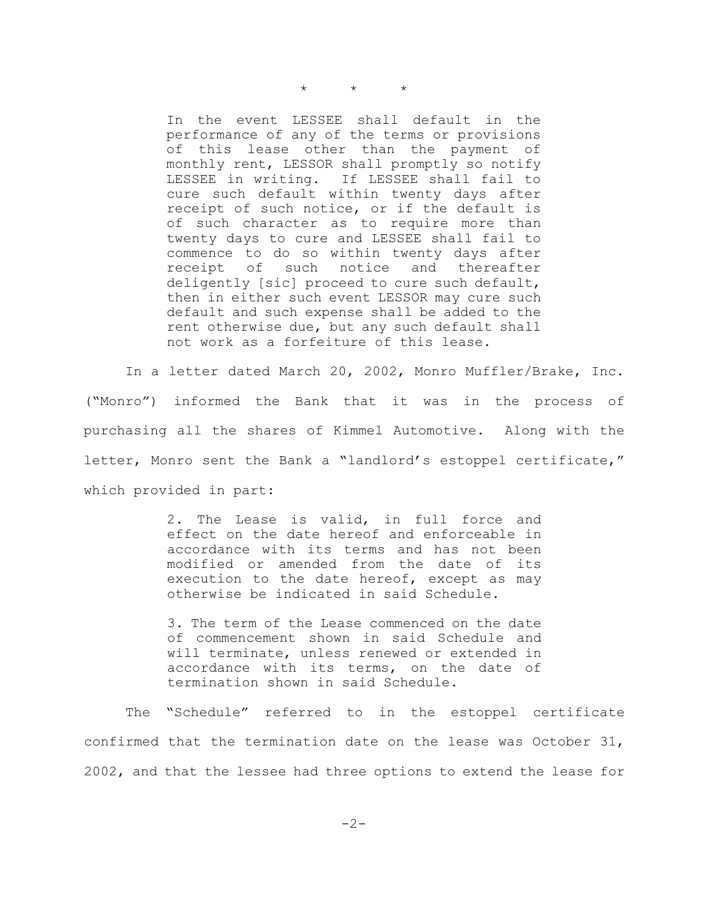$\star$   $\star$   $\star$ 

In the event LESSEE shall default in the performance of any of the terms or provisions of this lease other than the payment of monthly rent, LESSOR shall promptly so notify LESSEE in writing. If LESSEE shall fail to cure such default within twenty days after receipt of such notice, or if the default is of such character as to require more than twenty days to cure and LESSEE shall fail to commence to do so within twenty days after receipt of such notice and thereafter deligently [sic] proceed to cure such default, then in either such event LESSOR may cure such default and such expense shall be added to the rent otherwise due, but any such default shall not work as a forfeiture of this lease.

In a letter dated March 20, 2002, Monro Muffler/Brake, Inc. ("Monro") informed the Bank that it was in the process of purchasing all the shares of Kimmel Automotive. Along with the letter, Monro sent the Bank a "landlord's estoppel certificate," which provided in part:

> 2. The Lease is valid, in full force and effect on the date hereof and enforceable in accordance with its terms and has not been modified or amended from the date of its execution to the date hereof, except as may otherwise be indicated in said Schedule.

> 3. The term of the Lease commenced on the date of commencement shown in said Schedule and will terminate, unless renewed or extended in accordance with its terms, on the date of termination shown in said Schedule.

The "Schedule" referred to in the estoppel certificate confirmed that the termination date on the lease was October 31, 2002, and that the lessee had three options to extend the lease for

-2-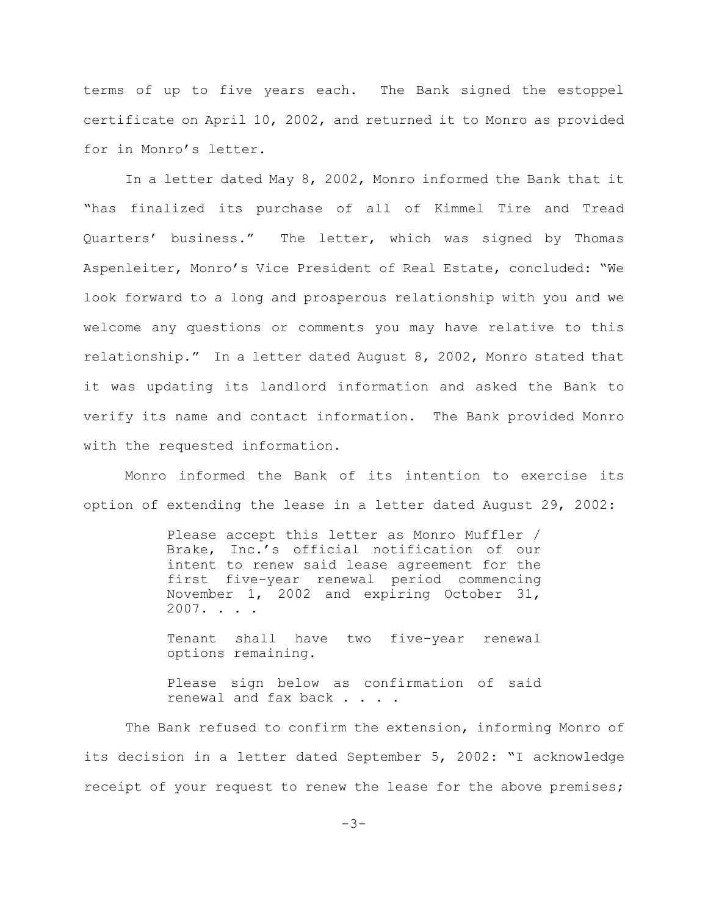terms of up to five years each. The Bank signed the estoppel certificate on April 10, 2002, and returned it to Monro as provided for in Monro's letter.

In a letter dated May 8, 2002, Monro informed the Bank that it "has finalized its purchase of all of Kimmel Tire and Tread Quarters' business." The letter, which was signed by Thomas Aspenleiter, Monro's Vice President of Real Estate, concluded: "We look forward to a long and prosperous relationship with you and we welcome any questions or comments you may have relative to this relationship." In a letter dated August 8, 2002, Monro stated that it was updating its landlord information and asked the Bank to verify its name and contact information. The Bank provided Monro with the requested information.

Monro informed the Bank of its intention to exercise its option of extending the lease in a letter dated August 29, 2002:

> Please accept this letter as Monro Muffler / Brake, Inc.'s official notification of our intent to renew said lease agreement for the first five-year renewal period commencing November 1, 2002 and expiring October 31, 2007. . . .

> Tenant shall have two five-year renewal options remaining.

> Please sign below as confirmation of said renewal and fax back . . .

The Bank refused to confirm the extension, informing Monro of its decision in a letter dated September 5, 2002: "I acknowledge receipt of your request to renew the lease for the above premises;

 $-3-$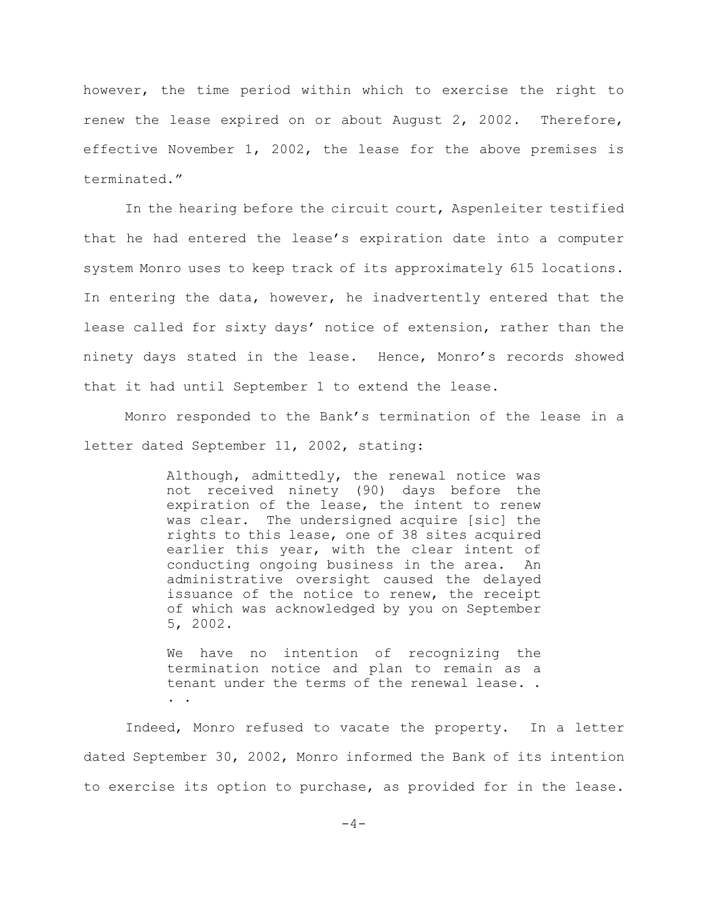however, the time period within which to exercise the right to renew the lease expired on or about August 2, 2002. Therefore, effective November 1, 2002, the lease for the above premises is terminated."

In the hearing before the circuit court, Aspenleiter testified that he had entered the lease's expiration date into a computer system Monro uses to keep track of its approximately 615 locations. In entering the data, however, he inadvertently entered that the lease called for sixty days' notice of extension, rather than the ninety days stated in the lease. Hence, Monro's records showed that it had until September 1 to extend the lease.

Monro responded to the Bank's termination of the lease in a letter dated September 11, 2002, stating:

> Although, admittedly, the renewal notice was not received ninety (90) days before the expiration of the lease, the intent to renew was clear. The undersigned acquire [sic] the rights to this lease, one of 38 sites acquired earlier this year, with the clear intent of conducting ongoing business in the area. An administrative oversight caused the delayed issuance of the notice to renew, the receipt of which was acknowledged by you on September 5, 2002.

> We have no intention of recognizing the termination notice and plan to remain as a tenant under the terms of the renewal lease. . . .

Indeed, Monro refused to vacate the property. In a letter dated September 30, 2002, Monro informed the Bank of its intention to exercise its option to purchase, as provided for in the lease.

 $-4-$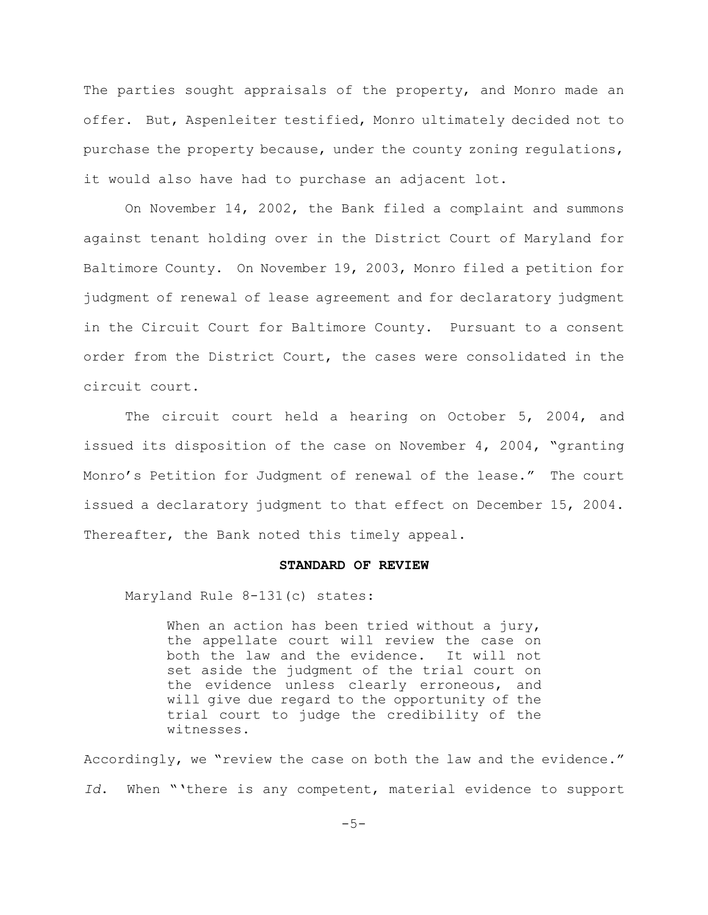The parties sought appraisals of the property, and Monro made an offer. But, Aspenleiter testified, Monro ultimately decided not to purchase the property because, under the county zoning regulations, it would also have had to purchase an adjacent lot.

On November 14, 2002, the Bank filed a complaint and summons against tenant holding over in the District Court of Maryland for Baltimore County. On November 19, 2003, Monro filed a petition for judgment of renewal of lease agreement and for declaratory judgment in the Circuit Court for Baltimore County. Pursuant to a consent order from the District Court, the cases were consolidated in the circuit court.

The circuit court held a hearing on October 5, 2004, and issued its disposition of the case on November 4, 2004, "granting Monro's Petition for Judgment of renewal of the lease." The court issued a declaratory judgment to that effect on December 15, 2004. Thereafter, the Bank noted this timely appeal.

## **STANDARD OF REVIEW**

Maryland Rule 8-131(c) states:

When an action has been tried without a jury, the appellate court will review the case on both the law and the evidence. It will not set aside the judgment of the trial court on the evidence unless clearly erroneous, and will give due regard to the opportunity of the trial court to judge the credibility of the witnesses.

Accordingly, we "review the case on both the law and the evidence." *Id*. When "'there is any competent, material evidence to support

 $-5-$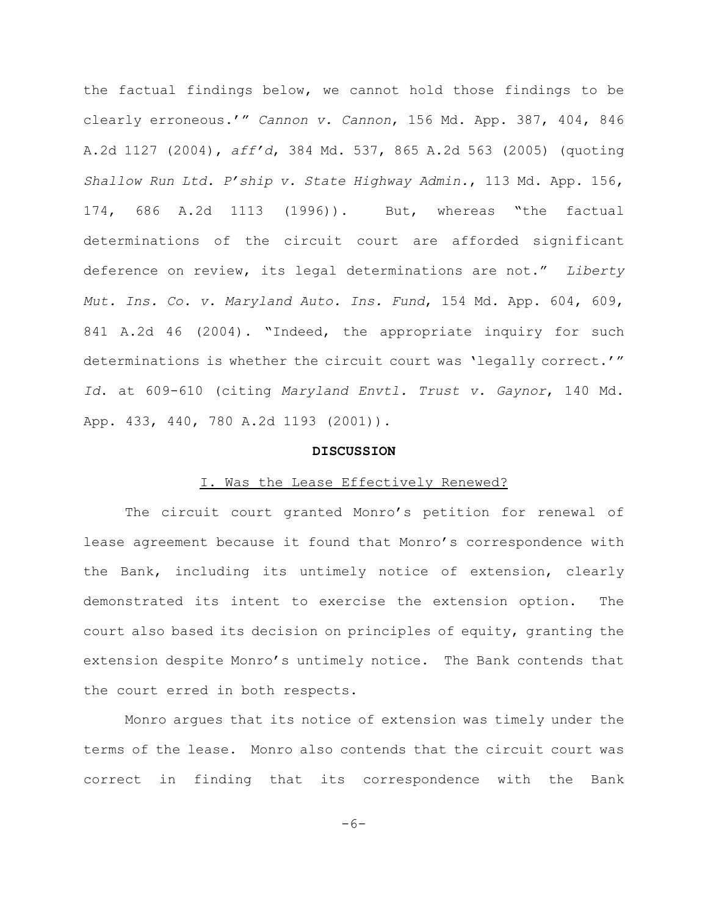the factual findings below, we cannot hold those findings to be clearly erroneous.'" *Cannon v. Cannon*, 156 Md. App. 387, 404, 846 A.2d 1127 (2004), *aff'd*, 384 Md. 537, 865 A.2d 563 (2005) (quoting *Shallow Run Ltd. P'ship v. State Highway Admin.*, 113 Md. App. 156, 174, 686 A.2d 1113 (1996)). But, whereas "the factual determinations of the circuit court are afforded significant deference on review, its legal determinations are not." *Liberty Mut. Ins. Co. v. Maryland Auto. Ins. Fund*, 154 Md. App. 604, 609, 841 A.2d 46 (2004). "Indeed, the appropriate inquiry for such determinations is whether the circuit court was 'legally correct.'" *Id*. at 609-610 (citing *Maryland Envtl. Trust v. Gaynor*, 140 Md. App. 433, 440, 780 A.2d 1193 (2001)).

## **DISCUSSION**

### I. Was the Lease Effectively Renewed?

The circuit court granted Monro's petition for renewal of lease agreement because it found that Monro's correspondence with the Bank, including its untimely notice of extension, clearly demonstrated its intent to exercise the extension option. The court also based its decision on principles of equity, granting the extension despite Monro's untimely notice. The Bank contends that the court erred in both respects.

Monro argues that its notice of extension was timely under the terms of the lease. Monro also contends that the circuit court was correct in finding that its correspondence with the Bank

 $-6-$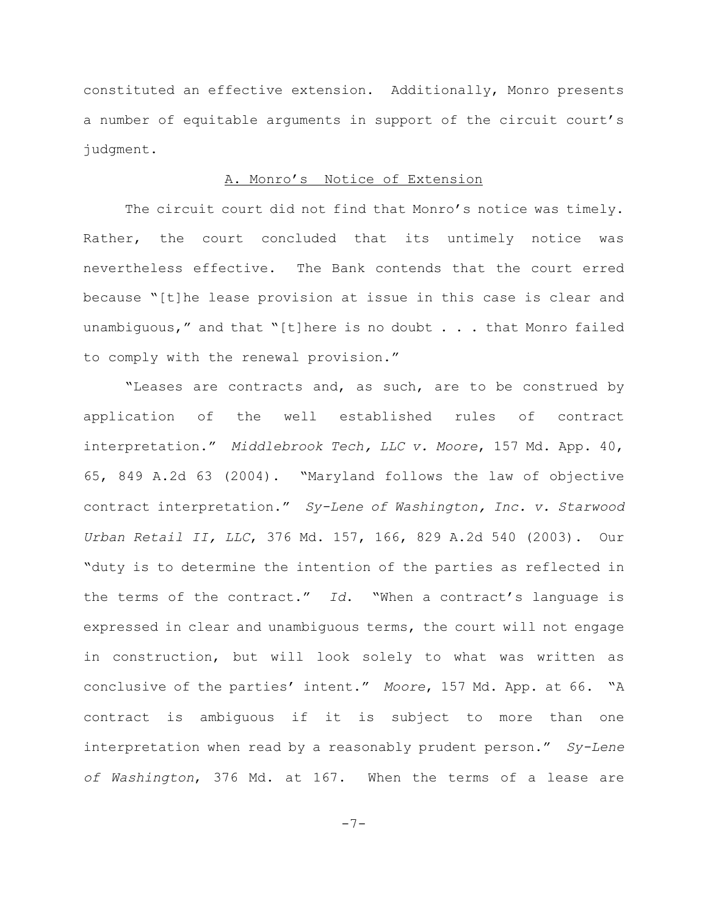constituted an effective extension. Additionally, Monro presents a number of equitable arguments in support of the circuit court's judgment.

# A. Monro's Notice of Extension

The circuit court did not find that Monro's notice was timely. Rather, the court concluded that its untimely notice was nevertheless effective. The Bank contends that the court erred because "[t]he lease provision at issue in this case is clear and unambiguous," and that "[t]here is no doubt . . . that Monro failed to comply with the renewal provision."

"Leases are contracts and, as such, are to be construed by application of the well established rules of contract interpretation." *Middlebrook Tech, LLC v. Moore*, 157 Md. App. 40, 65, 849 A.2d 63 (2004). "Maryland follows the law of objective contract interpretation." *Sy-Lene of Washington, Inc. v. Starwood Urban Retail II, LLC*, 376 Md. 157, 166, 829 A.2d 540 (2003). Our "duty is to determine the intention of the parties as reflected in the terms of the contract." *Id*. "When a contract's language is expressed in clear and unambiguous terms, the court will not engage in construction, but will look solely to what was written as conclusive of the parties' intent." *Moore*, 157 Md. App. at 66. "A contract is ambiguous if it is subject to more than one interpretation when read by a reasonably prudent person." *Sy-Lene of Washington*, 376 Md. at 167. When the terms of a lease are

-7-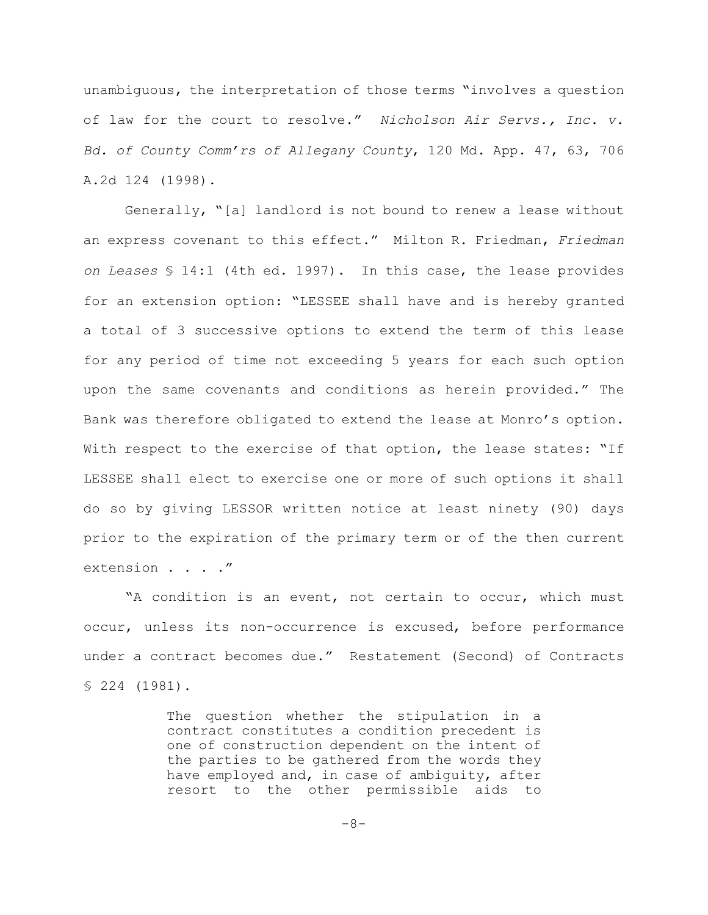unambiguous, the interpretation of those terms "involves a question of law for the court to resolve." *Nicholson Air Servs., Inc. v. Bd. of County Comm'rs of Allegany County*, 120 Md. App. 47, 63, 706 A.2d 124 (1998).

Generally, "[a] landlord is not bound to renew a lease without an express covenant to this effect." Milton R. Friedman, *Friedman on Leases* § 14:1 (4th ed. 1997). In this case, the lease provides for an extension option: "LESSEE shall have and is hereby granted a total of 3 successive options to extend the term of this lease for any period of time not exceeding 5 years for each such option upon the same covenants and conditions as herein provided." The Bank was therefore obligated to extend the lease at Monro's option. With respect to the exercise of that option, the lease states: "If LESSEE shall elect to exercise one or more of such options it shall do so by giving LESSOR written notice at least ninety (90) days prior to the expiration of the primary term or of the then current extension . . . . "

"A condition is an event, not certain to occur, which must occur, unless its non-occurrence is excused, before performance under a contract becomes due." Restatement (Second) of Contracts § 224 (1981).

> The question whether the stipulation in a contract constitutes a condition precedent is one of construction dependent on the intent of the parties to be gathered from the words they have employed and, in case of ambiguity, after resort to the other permissible aids to

> > -8-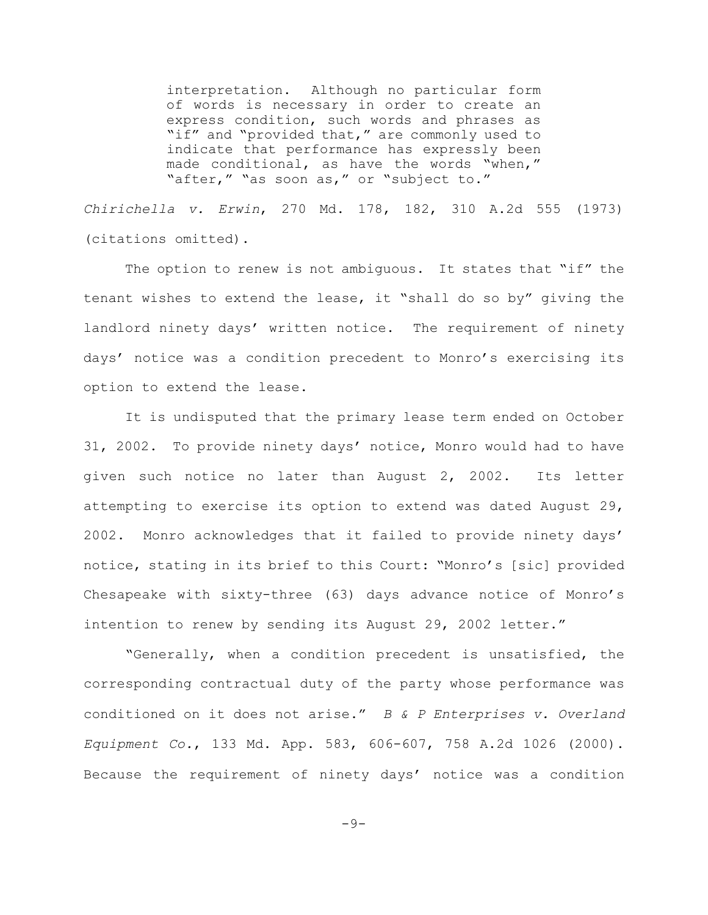interpretation. Although no particular form of words is necessary in order to create an express condition, such words and phrases as "if" and "provided that," are commonly used to indicate that performance has expressly been made conditional, as have the words "when," "after," "as soon as," or "subject to."

*Chirichella v. Erwin*, 270 Md. 178, 182, 310 A.2d 555 (1973) (citations omitted).

The option to renew is not ambiguous. It states that "if" the tenant wishes to extend the lease, it "shall do so by" giving the landlord ninety days' written notice. The requirement of ninety days' notice was a condition precedent to Monro's exercising its option to extend the lease.

It is undisputed that the primary lease term ended on October 31, 2002. To provide ninety days' notice, Monro would had to have given such notice no later than August 2, 2002. Its letter attempting to exercise its option to extend was dated August 29, 2002. Monro acknowledges that it failed to provide ninety days' notice, stating in its brief to this Court: "Monro's [sic] provided Chesapeake with sixty-three (63) days advance notice of Monro's intention to renew by sending its August 29, 2002 letter."

"Generally, when a condition precedent is unsatisfied, the corresponding contractual duty of the party whose performance was conditioned on it does not arise." *B & P Enterprises v. Overland Equipment Co.*, 133 Md. App. 583, 606-607, 758 A.2d 1026 (2000). Because the requirement of ninety days' notice was a condition

 $-9-$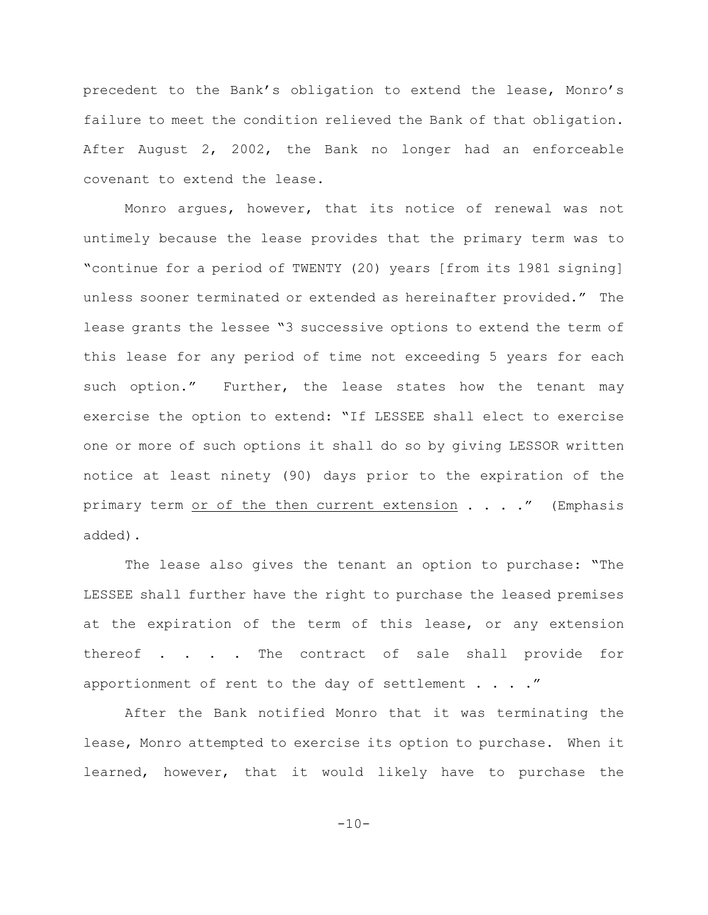precedent to the Bank's obligation to extend the lease, Monro's failure to meet the condition relieved the Bank of that obligation. After August 2, 2002, the Bank no longer had an enforceable covenant to extend the lease.

Monro argues, however, that its notice of renewal was not untimely because the lease provides that the primary term was to "continue for a period of TWENTY (20) years [from its 1981 signing] unless sooner terminated or extended as hereinafter provided." The lease grants the lessee "3 successive options to extend the term of this lease for any period of time not exceeding 5 years for each such option." Further, the lease states how the tenant may exercise the option to extend: "If LESSEE shall elect to exercise one or more of such options it shall do so by giving LESSOR written notice at least ninety (90) days prior to the expiration of the primary term or of the then current extension  $\ldots$  ... ." (Emphasis added).

The lease also gives the tenant an option to purchase: "The LESSEE shall further have the right to purchase the leased premises at the expiration of the term of this lease, or any extension thereof . . . . The contract of sale shall provide for apportionment of rent to the day of settlement  $\ldots$ ."

After the Bank notified Monro that it was terminating the lease, Monro attempted to exercise its option to purchase. When it learned, however, that it would likely have to purchase the

 $-10-$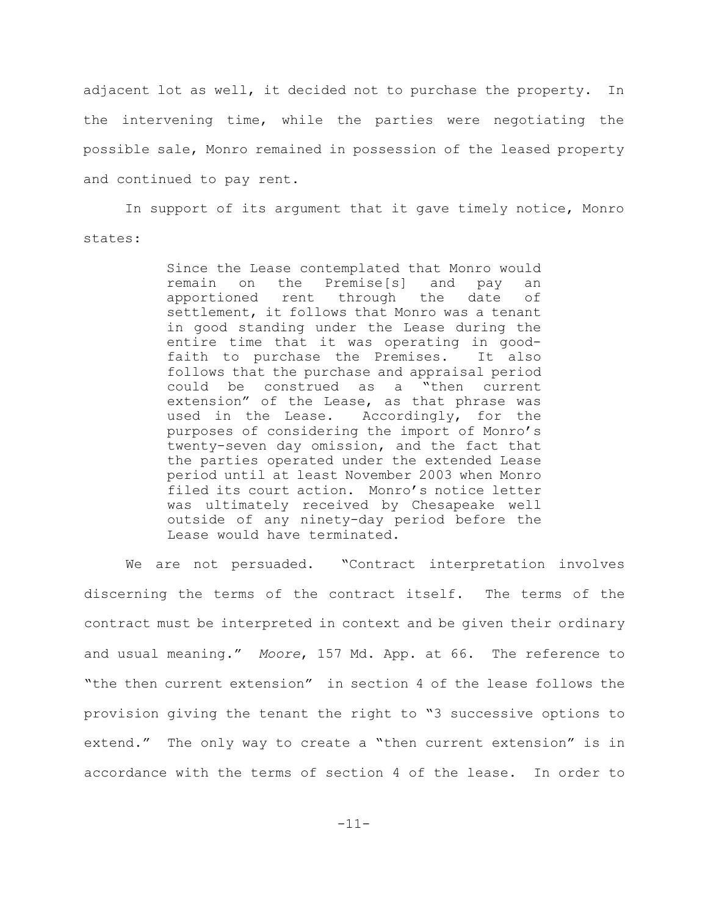adjacent lot as well, it decided not to purchase the property. In the intervening time, while the parties were negotiating the possible sale, Monro remained in possession of the leased property and continued to pay rent.

In support of its argument that it gave timely notice, Monro states:

> Since the Lease contemplated that Monro would remain on the Premise[s] and pay an apportioned rent through the date of settlement, it follows that Monro was a tenant in good standing under the Lease during the entire time that it was operating in goodfaith to purchase the Premises. It also follows that the purchase and appraisal period could be construed as a "then current extension" of the Lease, as that phrase was used in the Lease. Accordingly, for the purposes of considering the import of Monro's twenty-seven day omission, and the fact that the parties operated under the extended Lease period until at least November 2003 when Monro filed its court action. Monro's notice letter was ultimately received by Chesapeake well outside of any ninety-day period before the Lease would have terminated.

We are not persuaded. "Contract interpretation involves discerning the terms of the contract itself. The terms of the contract must be interpreted in context and be given their ordinary and usual meaning." *Moore*, 157 Md. App. at 66. The reference to "the then current extension" in section 4 of the lease follows the provision giving the tenant the right to "3 successive options to extend." The only way to create a "then current extension" is in accordance with the terms of section 4 of the lease. In order to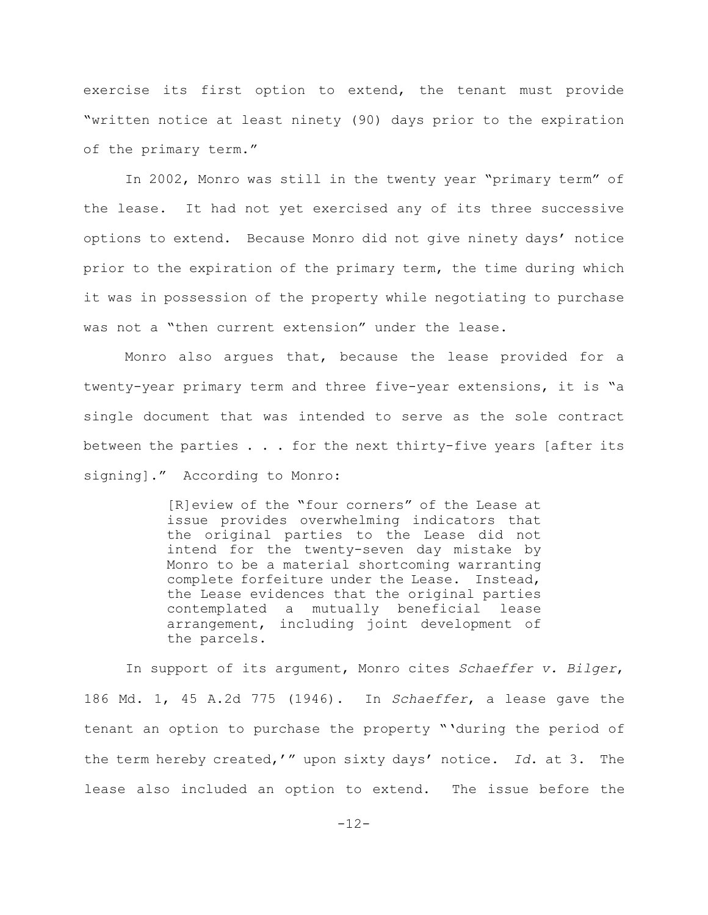exercise its first option to extend, the tenant must provide "written notice at least ninety (90) days prior to the expiration of the primary term."

In 2002, Monro was still in the twenty year "primary term" of the lease. It had not yet exercised any of its three successive options to extend. Because Monro did not give ninety days' notice prior to the expiration of the primary term, the time during which it was in possession of the property while negotiating to purchase was not a "then current extension" under the lease.

Monro also argues that, because the lease provided for a twenty-year primary term and three five-year extensions, it is "a single document that was intended to serve as the sole contract between the parties  $\ldots$  . for the next thirty-five years [after its signing]." According to Monro:

> [R]eview of the "four corners" of the Lease at issue provides overwhelming indicators that the original parties to the Lease did not intend for the twenty-seven day mistake by Monro to be a material shortcoming warranting complete forfeiture under the Lease. Instead, the Lease evidences that the original parties contemplated a mutually beneficial lease arrangement, including joint development of the parcels.

In support of its argument, Monro cites *Schaeffer v. Bilger*, 186 Md. 1, 45 A.2d 775 (1946). In *Schaeffer*, a lease gave the tenant an option to purchase the property "'during the period of the term hereby created,'" upon sixty days' notice. *Id*. at 3. The lease also included an option to extend. The issue before the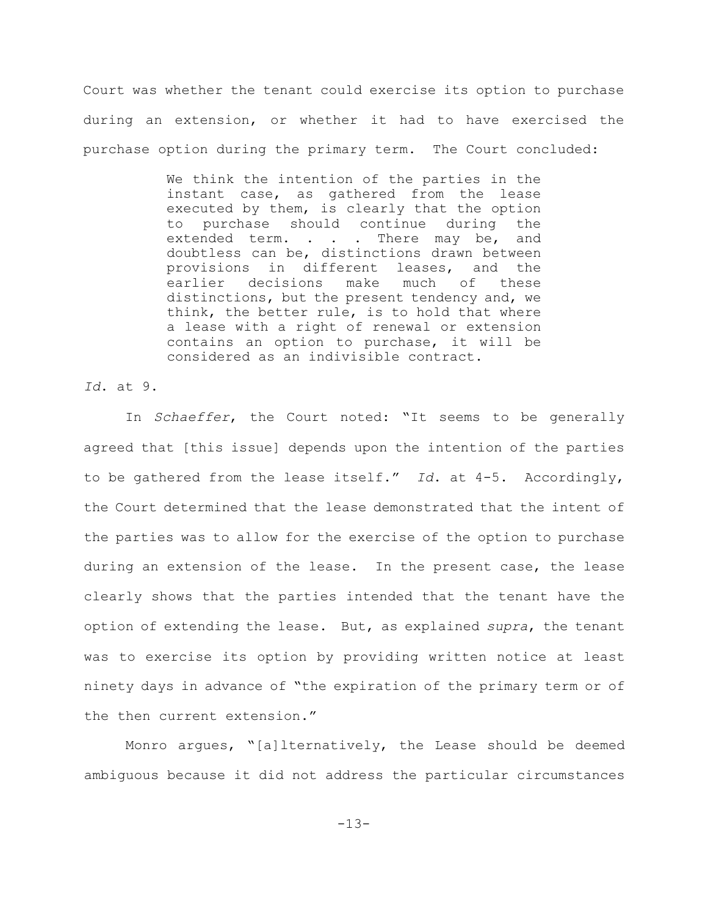Court was whether the tenant could exercise its option to purchase during an extension, or whether it had to have exercised the purchase option during the primary term. The Court concluded:

> We think the intention of the parties in the instant case, as gathered from the lease executed by them, is clearly that the option to purchase should continue during the extended term. . . . There may be, and doubtless can be, distinctions drawn between provisions in different leases, and the earlier decisions make much of these distinctions, but the present tendency and, we think, the better rule, is to hold that where a lease with a right of renewal or extension contains an option to purchase, it will be considered as an indivisible contract.

*Id*. at 9.

In *Schaeffer*, the Court noted: "It seems to be generally agreed that [this issue] depends upon the intention of the parties to be gathered from the lease itself." *Id*. at 4-5. Accordingly, the Court determined that the lease demonstrated that the intent of the parties was to allow for the exercise of the option to purchase during an extension of the lease. In the present case, the lease clearly shows that the parties intended that the tenant have the option of extending the lease. But, as explained *supra*, the tenant was to exercise its option by providing written notice at least ninety days in advance of "the expiration of the primary term or of the then current extension."

Monro argues, "[a]lternatively, the Lease should be deemed ambiguous because it did not address the particular circumstances

-13-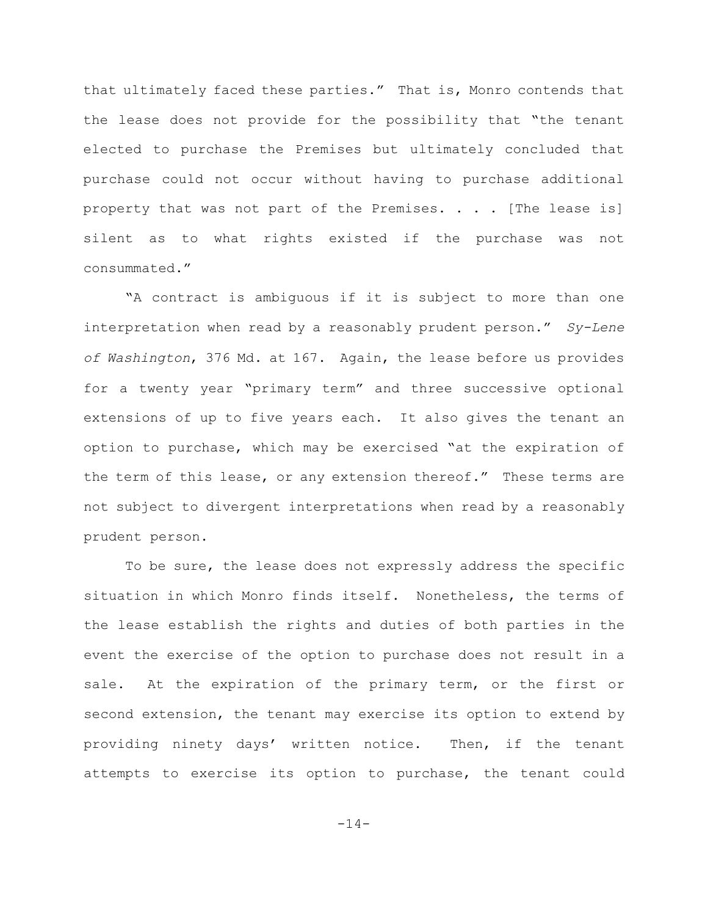that ultimately faced these parties." That is, Monro contends that the lease does not provide for the possibility that "the tenant elected to purchase the Premises but ultimately concluded that purchase could not occur without having to purchase additional property that was not part of the Premises. . . . [The lease is] silent as to what rights existed if the purchase was not consummated."

"A contract is ambiguous if it is subject to more than one interpretation when read by a reasonably prudent person." *Sy-Lene of Washington*, 376 Md. at 167. Again, the lease before us provides for a twenty year "primary term" and three successive optional extensions of up to five years each. It also gives the tenant an option to purchase, which may be exercised "at the expiration of the term of this lease, or any extension thereof." These terms are not subject to divergent interpretations when read by a reasonably prudent person.

To be sure, the lease does not expressly address the specific situation in which Monro finds itself. Nonetheless, the terms of the lease establish the rights and duties of both parties in the event the exercise of the option to purchase does not result in a sale. At the expiration of the primary term, or the first or second extension, the tenant may exercise its option to extend by providing ninety days' written notice. Then, if the tenant attempts to exercise its option to purchase, the tenant could

-14-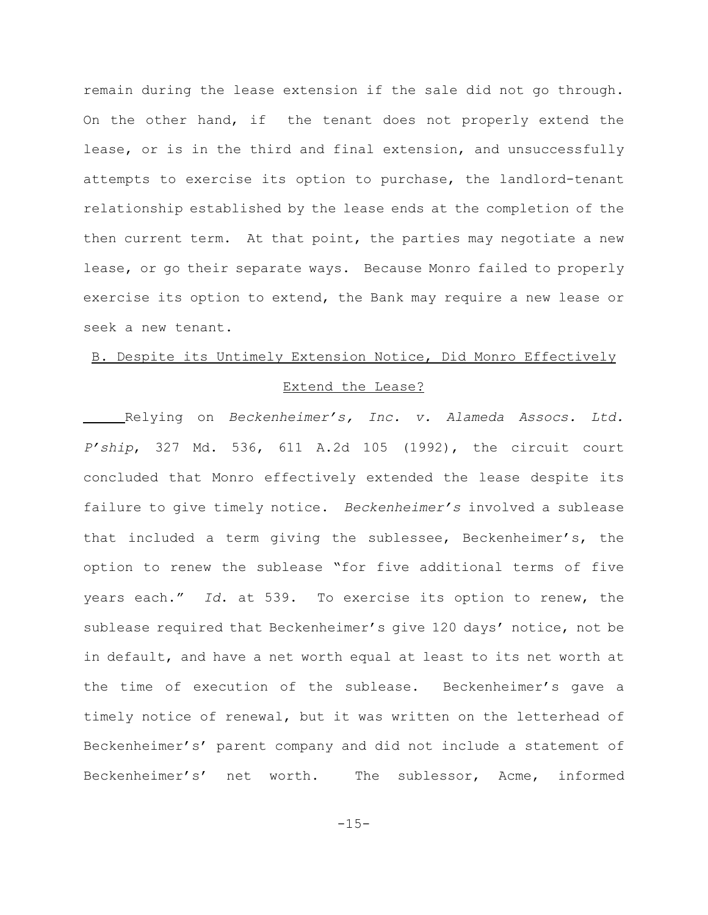remain during the lease extension if the sale did not go through. On the other hand, if the tenant does not properly extend the lease, or is in the third and final extension, and unsuccessfully attempts to exercise its option to purchase, the landlord-tenant relationship established by the lease ends at the completion of the then current term. At that point, the parties may negotiate a new lease, or go their separate ways. Because Monro failed to properly exercise its option to extend, the Bank may require a new lease or seek a new tenant.

# B. Despite its Untimely Extension Notice, Did Monro Effectively

## Extend the Lease?

Relying on *Beckenheimer's, Inc. v. Alameda Assocs. Ltd. P'ship*, 327 Md. 536, 611 A.2d 105 (1992), the circuit court concluded that Monro effectively extended the lease despite its failure to give timely notice. *Beckenheimer's* involved a sublease that included a term giving the sublessee, Beckenheimer's, the option to renew the sublease "for five additional terms of five years each." *Id*. at 539. To exercise its option to renew, the sublease required that Beckenheimer's give 120 days' notice, not be in default, and have a net worth equal at least to its net worth at the time of execution of the sublease. Beckenheimer's gave a timely notice of renewal, but it was written on the letterhead of Beckenheimer's' parent company and did not include a statement of Beckenheimer's' net worth. The sublessor, Acme, informed

 $-15-$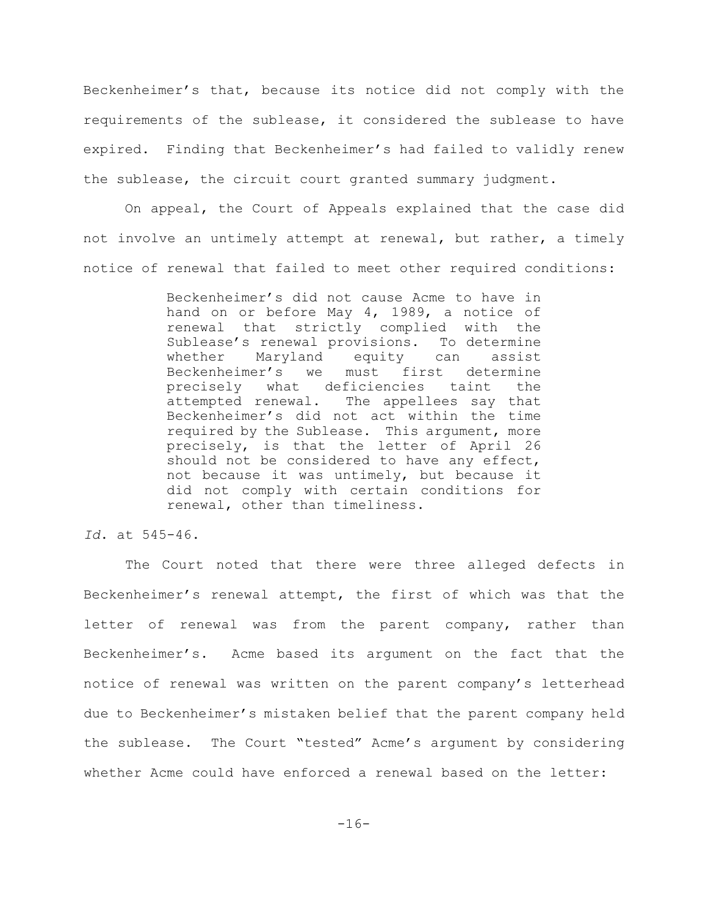Beckenheimer's that, because its notice did not comply with the requirements of the sublease, it considered the sublease to have expired. Finding that Beckenheimer's had failed to validly renew the sublease, the circuit court granted summary judgment.

On appeal, the Court of Appeals explained that the case did not involve an untimely attempt at renewal, but rather, a timely notice of renewal that failed to meet other required conditions:

> Beckenheimer's did not cause Acme to have in hand on or before May 4, 1989, a notice of renewal that strictly complied with the Sublease's renewal provisions. To determine whether Maryland equity can assist Beckenheimer's we must first determine precisely what deficiencies taint the attempted renewal. The appellees say that Beckenheimer's did not act within the time required by the Sublease. This argument, more precisely, is that the letter of April 26 should not be considered to have any effect, not because it was untimely, but because it did not comply with certain conditions for renewal, other than timeliness.

*Id*. at 545-46.

The Court noted that there were three alleged defects in Beckenheimer's renewal attempt, the first of which was that the letter of renewal was from the parent company, rather than Beckenheimer's. Acme based its argument on the fact that the notice of renewal was written on the parent company's letterhead due to Beckenheimer's mistaken belief that the parent company held the sublease. The Court "tested" Acme's argument by considering whether Acme could have enforced a renewal based on the letter: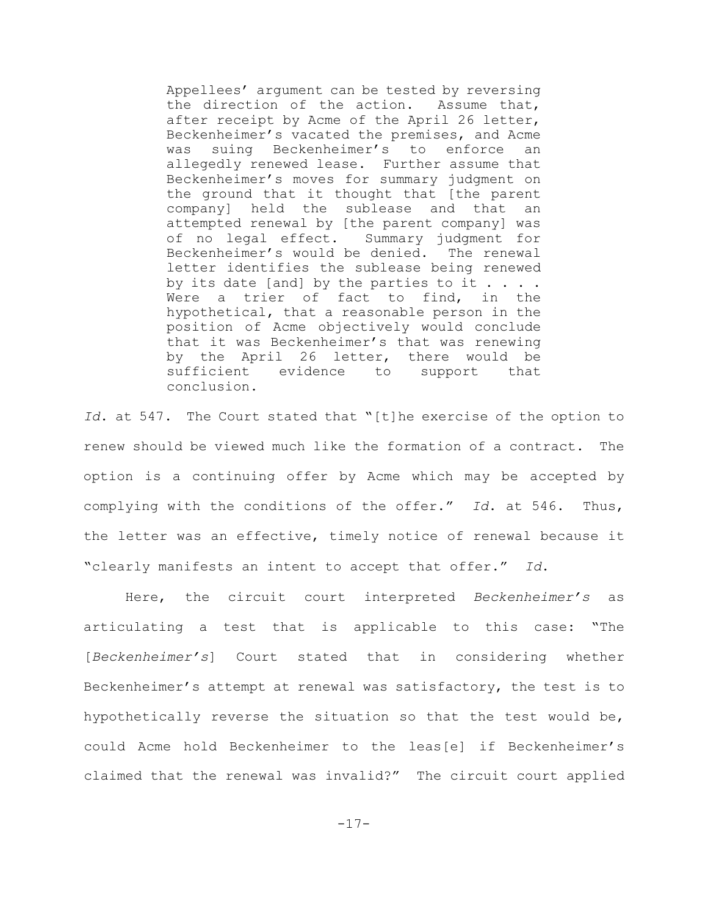Appellees' argument can be tested by reversing the direction of the action. Assume that, after receipt by Acme of the April 26 letter, Beckenheimer's vacated the premises, and Acme was suing Beckenheimer's to enforce an allegedly renewed lease. Further assume that Beckenheimer's moves for summary judgment on the ground that it thought that [the parent company] held the sublease and that an attempted renewal by [the parent company] was of no legal effect. Summary judgment for Beckenheimer's would be denied. The renewal letter identifies the sublease being renewed by its date [and] by the parties to it  $\ldots$ . Were a trier of fact to find, in the hypothetical, that a reasonable person in the position of Acme objectively would conclude that it was Beckenheimer's that was renewing by the April 26 letter, there would be sufficient evidence to support that conclusion.

*Id*. at 547. The Court stated that "[t]he exercise of the option to renew should be viewed much like the formation of a contract. The option is a continuing offer by Acme which may be accepted by complying with the conditions of the offer." *Id*. at 546. Thus, the letter was an effective, timely notice of renewal because it "clearly manifests an intent to accept that offer." *Id*.

Here, the circuit court interpreted *Beckenheimer's* as articulating a test that is applicable to this case: "The [*Beckenheimer's*] Court stated that in considering whether Beckenheimer's attempt at renewal was satisfactory, the test is to hypothetically reverse the situation so that the test would be, could Acme hold Beckenheimer to the leas[e] if Beckenheimer's claimed that the renewal was invalid?" The circuit court applied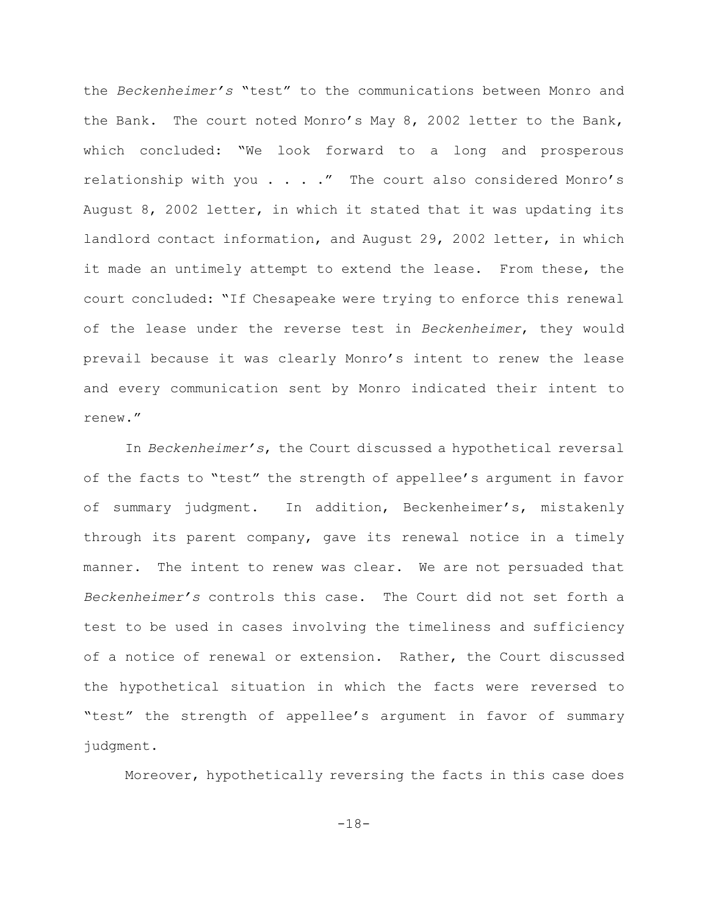the *Beckenheimer's* "test" to the communications between Monro and the Bank. The court noted Monro's May 8, 2002 letter to the Bank, which concluded: "We look forward to a long and prosperous relationship with you . . . . " The court also considered Monro's August 8, 2002 letter, in which it stated that it was updating its landlord contact information, and August 29, 2002 letter, in which it made an untimely attempt to extend the lease. From these, the court concluded: "If Chesapeake were trying to enforce this renewal of the lease under the reverse test in *Beckenheimer*, they would prevail because it was clearly Monro's intent to renew the lease and every communication sent by Monro indicated their intent to renew."

In *Beckenheimer's*, the Court discussed a hypothetical reversal of the facts to "test" the strength of appellee's argument in favor of summary judgment. In addition, Beckenheimer's, mistakenly through its parent company, gave its renewal notice in a timely manner. The intent to renew was clear. We are not persuaded that *Beckenheimer's* controls this case. The Court did not set forth a test to be used in cases involving the timeliness and sufficiency of a notice of renewal or extension. Rather, the Court discussed the hypothetical situation in which the facts were reversed to "test" the strength of appellee's argument in favor of summary judgment.

Moreover, hypothetically reversing the facts in this case does

-18-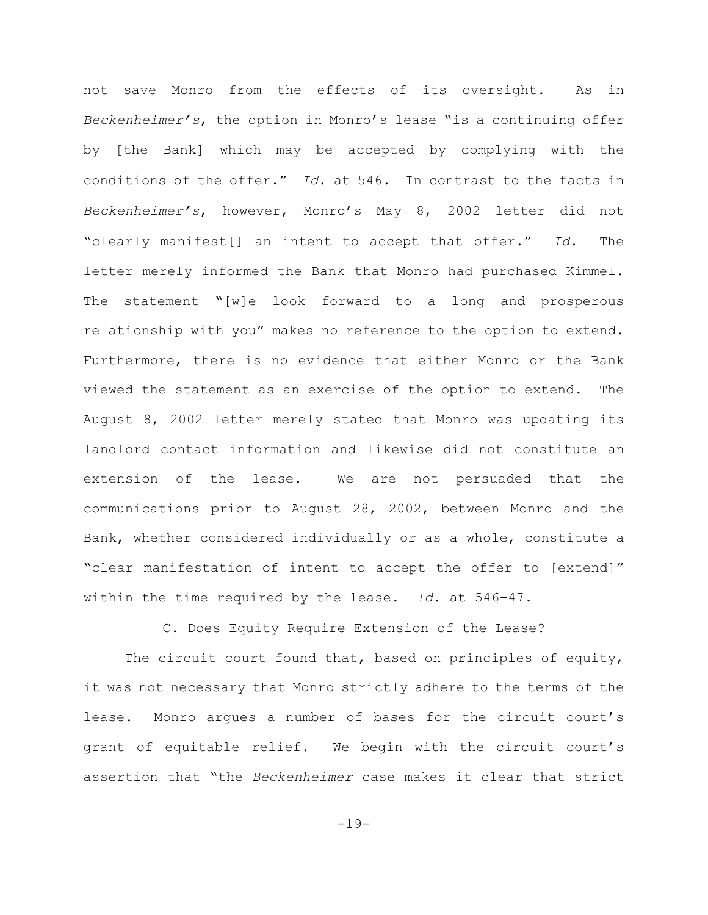not save Monro from the effects of its oversight. As in *Beckenheimer's*, the option in Monro's lease "is a continuing offer by [the Bank] which may be accepted by complying with the conditions of the offer." *Id*. at 546. In contrast to the facts in *Beckenheimer's*, however, Monro's May 8, 2002 letter did not "clearly manifest[] an intent to accept that offer." *Id*. The letter merely informed the Bank that Monro had purchased Kimmel. The statement "[w]e look forward to a long and prosperous relationship with you" makes no reference to the option to extend. Furthermore, there is no evidence that either Monro or the Bank viewed the statement as an exercise of the option to extend. The August 8, 2002 letter merely stated that Monro was updating its landlord contact information and likewise did not constitute an extension of the lease. We are not persuaded that the communications prior to August 28, 2002, between Monro and the Bank, whether considered individually or as a whole, constitute a "clear manifestation of intent to accept the offer to [extend]" within the time required by the lease. *Id*. at 546-47.

# C. Does Equity Require Extension of the Lease?

The circuit court found that, based on principles of equity, it was not necessary that Monro strictly adhere to the terms of the lease. Monro argues a number of bases for the circuit court's grant of equitable relief. We begin with the circuit court's assertion that "the *Beckenheimer* case makes it clear that strict

-19-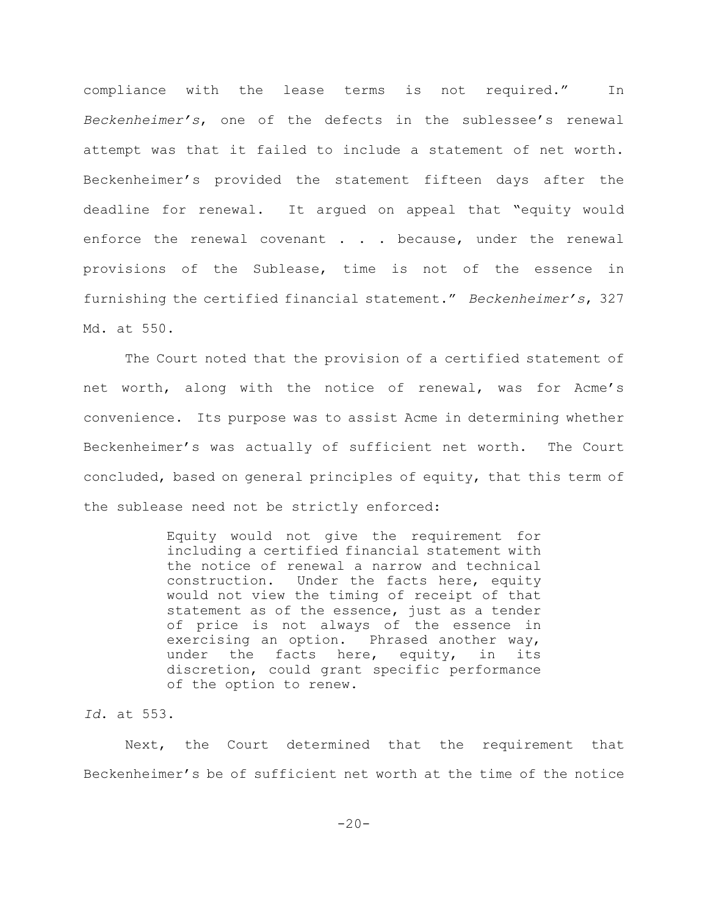compliance with the lease terms is not required." In *Beckenheimer's*, one of the defects in the sublessee's renewal attempt was that it failed to include a statement of net worth. Beckenheimer's provided the statement fifteen days after the deadline for renewal. It argued on appeal that "equity would enforce the renewal covenant . . . because, under the renewal provisions of the Sublease, time is not of the essence in furnishing the certified financial statement." *Beckenheimer's*, 327 Md. at 550.

The Court noted that the provision of a certified statement of net worth, along with the notice of renewal, was for Acme's convenience. Its purpose was to assist Acme in determining whether Beckenheimer's was actually of sufficient net worth. The Court concluded, based on general principles of equity, that this term of the sublease need not be strictly enforced:

> Equity would not give the requirement for including a certified financial statement with the notice of renewal a narrow and technical construction. Under the facts here, equity would not view the timing of receipt of that statement as of the essence, just as a tender of price is not always of the essence in exercising an option. Phrased another way, under the facts here, equity, in its discretion, could grant specific performance of the option to renew.

*Id*. at 553.

Next, the Court determined that the requirement that Beckenheimer's be of sufficient net worth at the time of the notice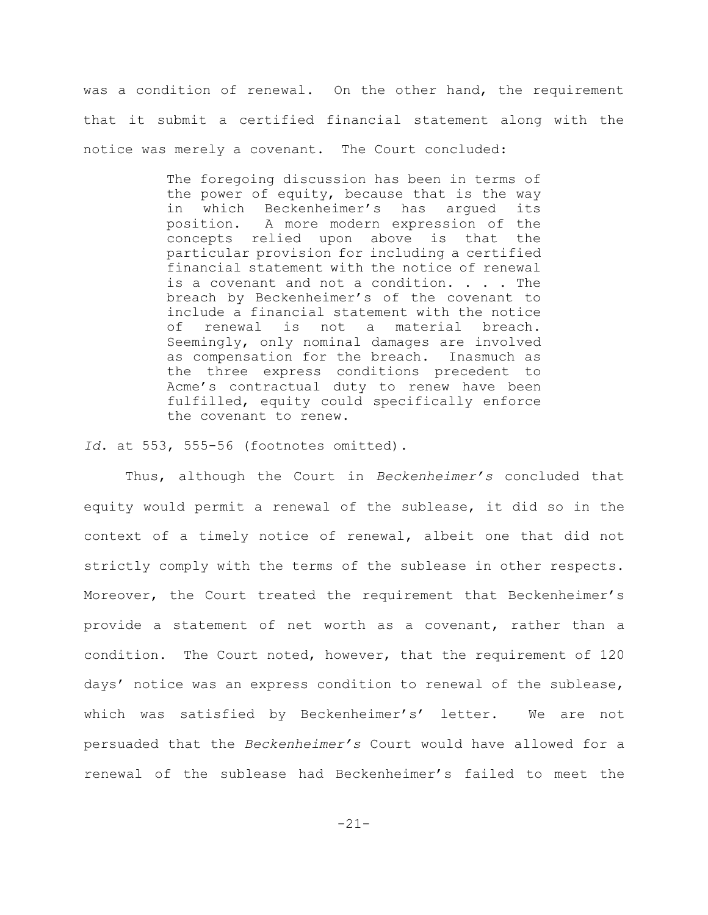was a condition of renewal. On the other hand, the requirement that it submit a certified financial statement along with the notice was merely a covenant. The Court concluded:

> The foregoing discussion has been in terms of the power of equity, because that is the way in which Beckenheimer's has argued its position. A more modern expression of the concepts relied upon above is that the particular provision for including a certified financial statement with the notice of renewal is a covenant and not a condition. . . . The breach by Beckenheimer's of the covenant to include a financial statement with the notice of renewal is not a material breach. Seemingly, only nominal damages are involved as compensation for the breach. Inasmuch as the three express conditions precedent to Acme's contractual duty to renew have been fulfilled, equity could specifically enforce the covenant to renew.

*Id*. at 553, 555-56 (footnotes omitted).

Thus, although the Court in *Beckenheimer's* concluded that equity would permit a renewal of the sublease, it did so in the context of a timely notice of renewal, albeit one that did not strictly comply with the terms of the sublease in other respects. Moreover, the Court treated the requirement that Beckenheimer's provide a statement of net worth as a covenant, rather than a condition. The Court noted, however, that the requirement of 120 days' notice was an express condition to renewal of the sublease, which was satisfied by Beckenheimer's' letter. We are not persuaded that the *Beckenheimer's* Court would have allowed for a renewal of the sublease had Beckenheimer's failed to meet the

-21-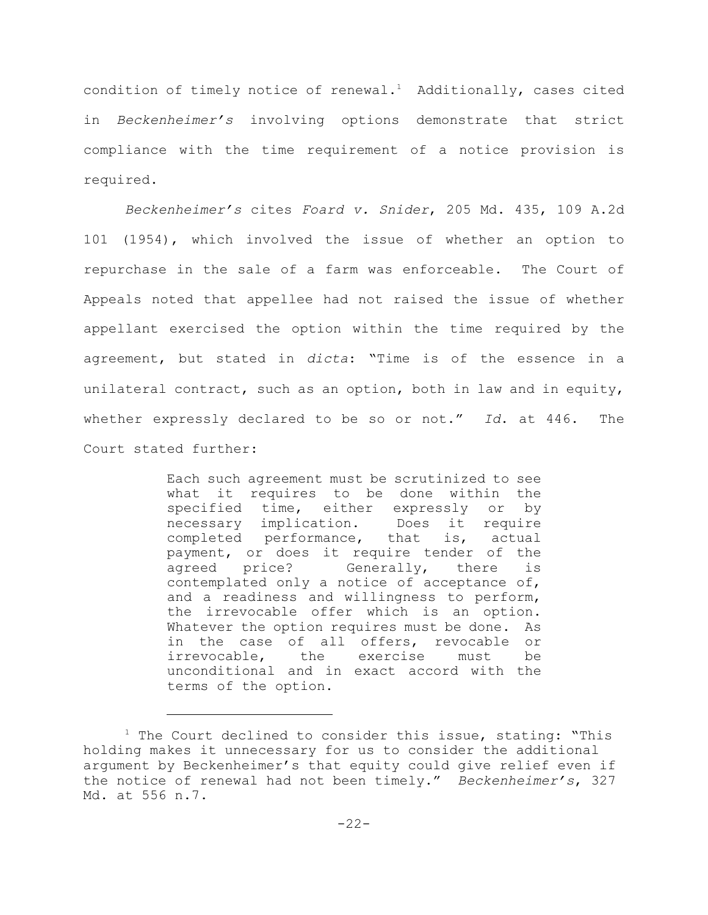condition of timely notice of renewal.<sup>1</sup> Additionally, cases cited in *Beckenheimer's* involving options demonstrate that strict compliance with the time requirement of a notice provision is required.

*Beckenheimer's* cites *Foard v. Snider*, 205 Md. 435, 109 A.2d 101 (1954), which involved the issue of whether an option to repurchase in the sale of a farm was enforceable. The Court of Appeals noted that appellee had not raised the issue of whether appellant exercised the option within the time required by the agreement, but stated in *dicta*: "Time is of the essence in a unilateral contract, such as an option, both in law and in equity, whether expressly declared to be so or not." *Id*. at 446. The Court stated further:

> Each such agreement must be scrutinized to see what it requires to be done within the specified time, either expressly or by necessary implication. Does it require completed performance, that is, actual payment, or does it require tender of the agreed price? Generally, there is contemplated only a notice of acceptance of, and a readiness and willingness to perform, the irrevocable offer which is an option. Whatever the option requires must be done. As in the case of all offers, revocable or irrevocable, the exercise must be unconditional and in exact accord with the terms of the option.

 $1$  The Court declined to consider this issue, stating: "This holding makes it unnecessary for us to consider the additional argument by Beckenheimer's that equity could give relief even if the notice of renewal had not been timely." *Beckenheimer's*, 327 Md. at 556 n.7.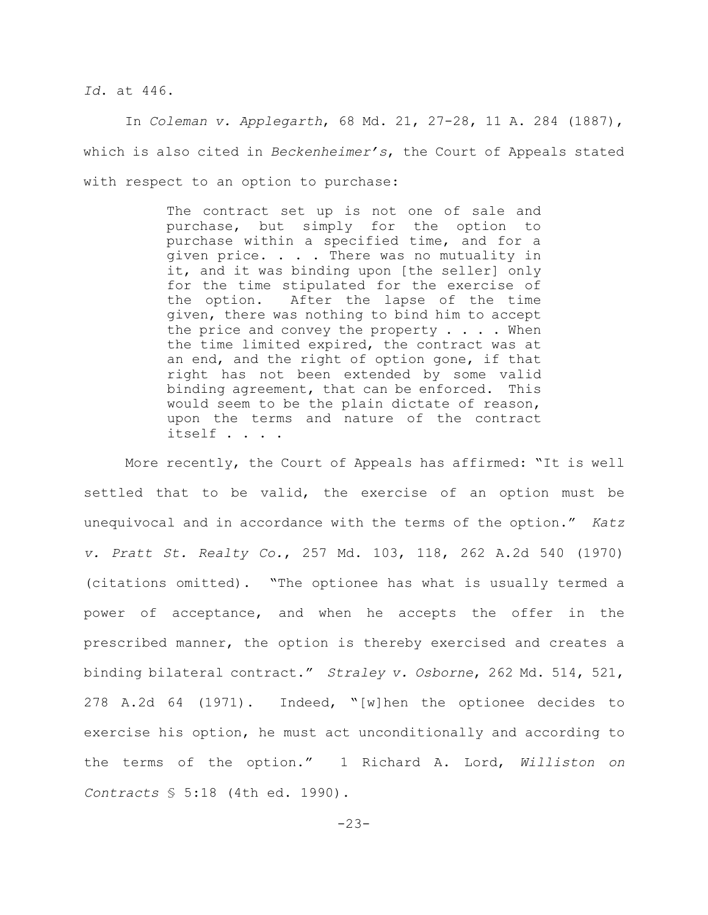*Id*. at 446.

In *Coleman v. Applegarth*, 68 Md. 21, 27-28, 11 A. 284 (1887), which is also cited in *Beckenheimer's*, the Court of Appeals stated with respect to an option to purchase:

> The contract set up is not one of sale and purchase, but simply for the option to purchase within a specified time, and for a given price. . . . There was no mutuality in it, and it was binding upon [the seller] only for the time stipulated for the exercise of the option. After the lapse of the time given, there was nothing to bind him to accept the price and convey the property  $\ldots$ . When the time limited expired, the contract was at an end, and the right of option gone, if that right has not been extended by some valid binding agreement, that can be enforced. This would seem to be the plain dictate of reason, upon the terms and nature of the contract itself . . . .

More recently, the Court of Appeals has affirmed: "It is well settled that to be valid, the exercise of an option must be unequivocal and in accordance with the terms of the option." *Katz v. Pratt St. Realty Co.*, 257 Md. 103, 118, 262 A.2d 540 (1970) (citations omitted). "The optionee has what is usually termed a power of acceptance, and when he accepts the offer in the prescribed manner, the option is thereby exercised and creates a binding bilateral contract." *Straley v. Osborne*, 262 Md. 514, 521, 278 A.2d 64 (1971). Indeed, "[w]hen the optionee decides to exercise his option, he must act unconditionally and according to the terms of the option." 1 Richard A. Lord, *Williston on Contracts* § 5:18 (4th ed. 1990).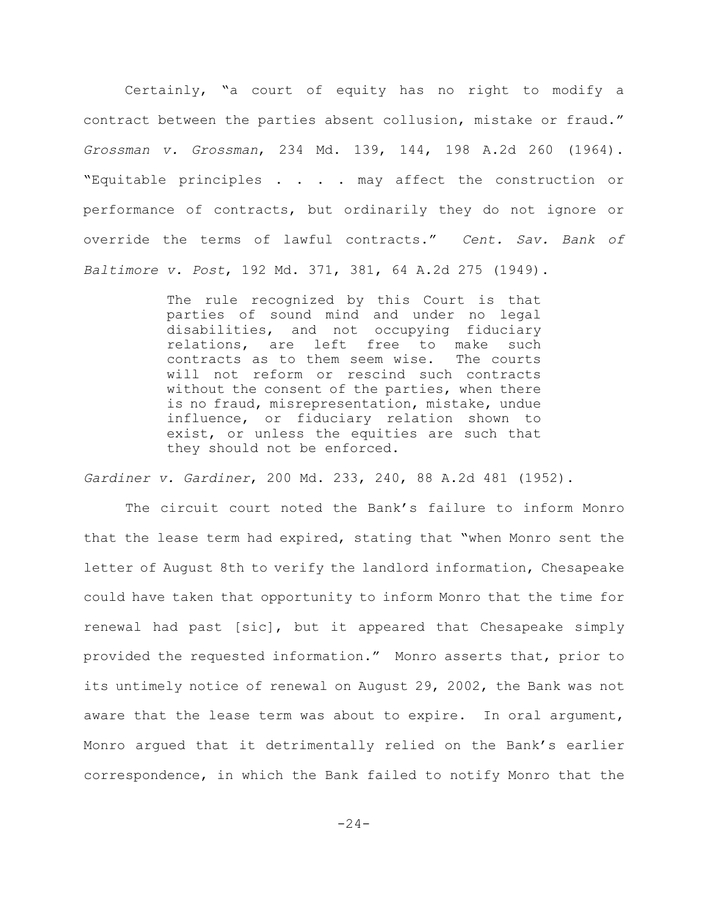Certainly, "a court of equity has no right to modify a contract between the parties absent collusion, mistake or fraud." *Grossman v. Grossman*, 234 Md. 139, 144, 198 A.2d 260 (1964). "Equitable principles . . . . may affect the construction or performance of contracts, but ordinarily they do not ignore or override the terms of lawful contracts." *Cent. Sav. Bank of Baltimore v. Post*, 192 Md. 371, 381, 64 A.2d 275 (1949).

> The rule recognized by this Court is that parties of sound mind and under no legal disabilities, and not occupying fiduciary relations, are left free to make such contracts as to them seem wise. The courts will not reform or rescind such contracts without the consent of the parties, when there is no fraud, misrepresentation, mistake, undue influence, or fiduciary relation shown to exist, or unless the equities are such that they should not be enforced.

*Gardiner v. Gardiner*, 200 Md. 233, 240, 88 A.2d 481 (1952).

The circuit court noted the Bank's failure to inform Monro that the lease term had expired, stating that "when Monro sent the letter of August 8th to verify the landlord information, Chesapeake could have taken that opportunity to inform Monro that the time for renewal had past [sic], but it appeared that Chesapeake simply provided the requested information." Monro asserts that, prior to its untimely notice of renewal on August 29, 2002, the Bank was not aware that the lease term was about to expire. In oral argument, Monro argued that it detrimentally relied on the Bank's earlier correspondence, in which the Bank failed to notify Monro that the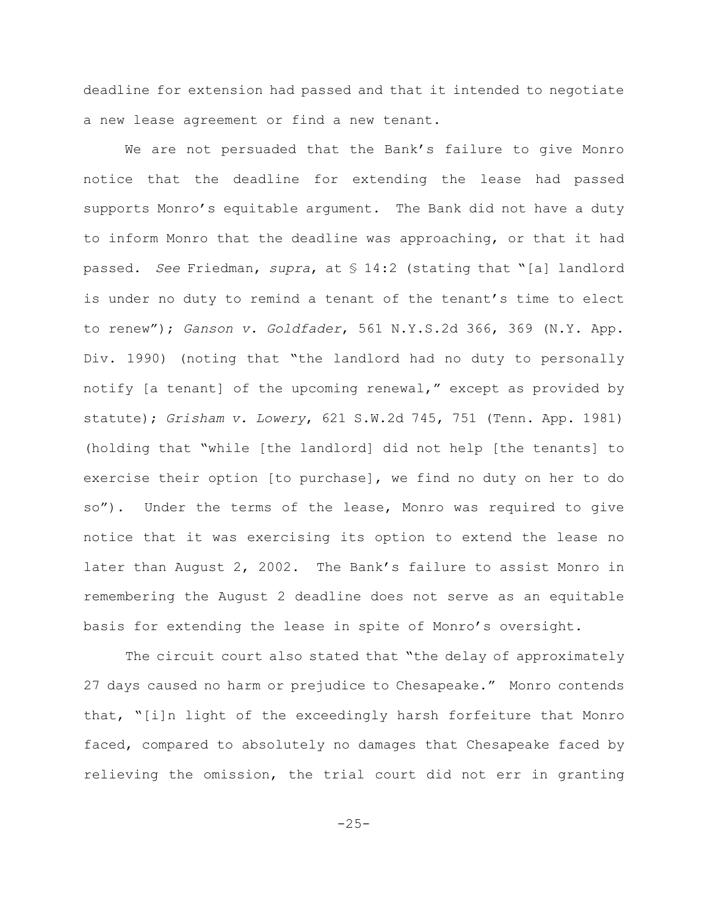deadline for extension had passed and that it intended to negotiate a new lease agreement or find a new tenant.

We are not persuaded that the Bank's failure to give Monro notice that the deadline for extending the lease had passed supports Monro's equitable argument. The Bank did not have a duty to inform Monro that the deadline was approaching, or that it had passed. *See* Friedman, *supra*, at § 14:2 (stating that "[a] landlord is under no duty to remind a tenant of the tenant's time to elect to renew"); *Ganson v. Goldfader*, 561 N.Y.S.2d 366, 369 (N.Y. App. Div. 1990) (noting that "the landlord had no duty to personally notify [a tenant] of the upcoming renewal," except as provided by statute); *Grisham v. Lowery*, 621 S.W.2d 745, 751 (Tenn. App. 1981) (holding that "while [the landlord] did not help [the tenants] to exercise their option [to purchase], we find no duty on her to do so"). Under the terms of the lease, Monro was required to give notice that it was exercising its option to extend the lease no later than August 2, 2002. The Bank's failure to assist Monro in remembering the August 2 deadline does not serve as an equitable basis for extending the lease in spite of Monro's oversight.

The circuit court also stated that "the delay of approximately 27 days caused no harm or prejudice to Chesapeake." Monro contends that, "[i]n light of the exceedingly harsh forfeiture that Monro faced, compared to absolutely no damages that Chesapeake faced by relieving the omission, the trial court did not err in granting

 $-25-$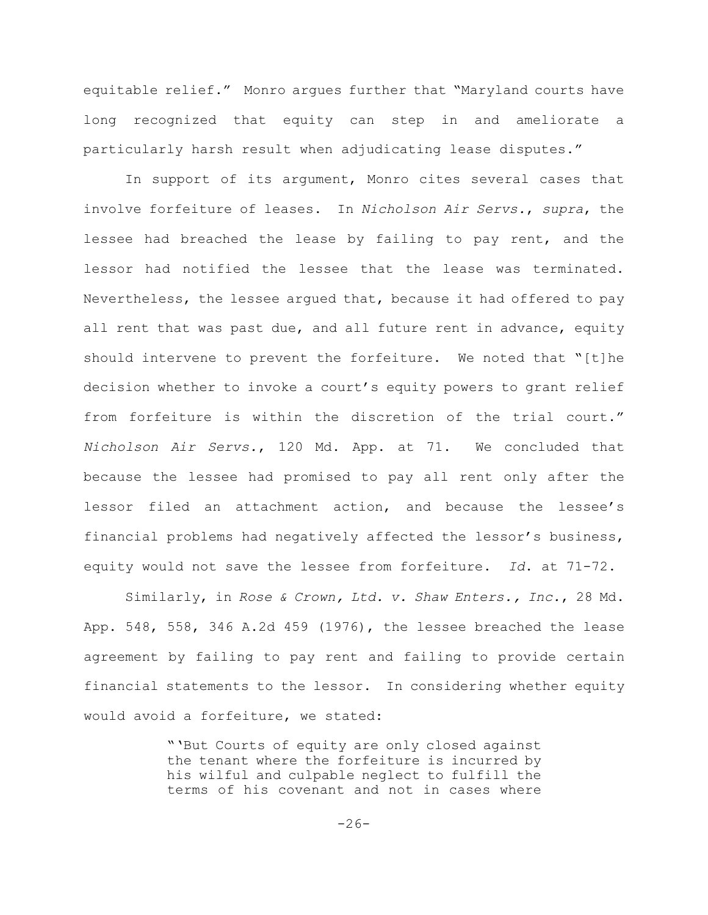equitable relief." Monro argues further that "Maryland courts have long recognized that equity can step in and ameliorate a particularly harsh result when adjudicating lease disputes."

In support of its argument, Monro cites several cases that involve forfeiture of leases. In *Nicholson Air Servs.*, *supra*, the lessee had breached the lease by failing to pay rent, and the lessor had notified the lessee that the lease was terminated. Nevertheless, the lessee argued that, because it had offered to pay all rent that was past due, and all future rent in advance, equity should intervene to prevent the forfeiture. We noted that "[t]he decision whether to invoke a court's equity powers to grant relief from forfeiture is within the discretion of the trial court." *Nicholson Air Servs.*, 120 Md. App. at 71. We concluded that because the lessee had promised to pay all rent only after the lessor filed an attachment action, and because the lessee's financial problems had negatively affected the lessor's business, equity would not save the lessee from forfeiture. *Id*. at 71-72.

Similarly, in *Rose & Crown, Ltd. v. Shaw Enters., Inc.*, 28 Md. App. 548, 558, 346 A.2d 459 (1976), the lessee breached the lease agreement by failing to pay rent and failing to provide certain financial statements to the lessor. In considering whether equity would avoid a forfeiture, we stated:

> "'But Courts of equity are only closed against the tenant where the forfeiture is incurred by his wilful and culpable neglect to fulfill the terms of his covenant and not in cases where

> > $-26-$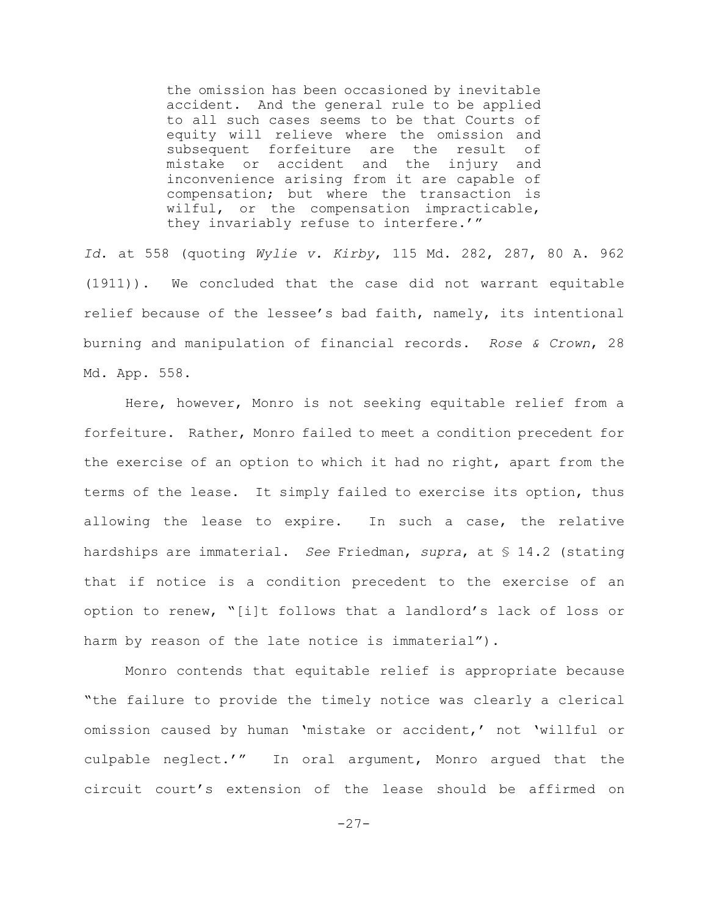the omission has been occasioned by inevitable accident. And the general rule to be applied to all such cases seems to be that Courts of equity will relieve where the omission and subsequent forfeiture are the result of mistake or accident and the injury and inconvenience arising from it are capable of compensation; but where the transaction is wilful, or the compensation impracticable, they invariably refuse to interfere.'"

*Id*. at 558 (quoting *Wylie v. Kirby*, 115 Md. 282, 287, 80 A. 962 (1911)). We concluded that the case did not warrant equitable relief because of the lessee's bad faith, namely, its intentional burning and manipulation of financial records. *Rose & Crown*, 28 Md. App. 558.

Here, however, Monro is not seeking equitable relief from a forfeiture. Rather, Monro failed to meet a condition precedent for the exercise of an option to which it had no right, apart from the terms of the lease. It simply failed to exercise its option, thus allowing the lease to expire. In such a case, the relative hardships are immaterial. *See* Friedman, *supra*, at § 14.2 (stating that if notice is a condition precedent to the exercise of an option to renew, "[i]t follows that a landlord's lack of loss or harm by reason of the late notice is immaterial").

Monro contends that equitable relief is appropriate because "the failure to provide the timely notice was clearly a clerical omission caused by human 'mistake or accident,' not 'willful or culpable neglect.'" In oral argument, Monro argued that the circuit court's extension of the lease should be affirmed on

```
-27-
```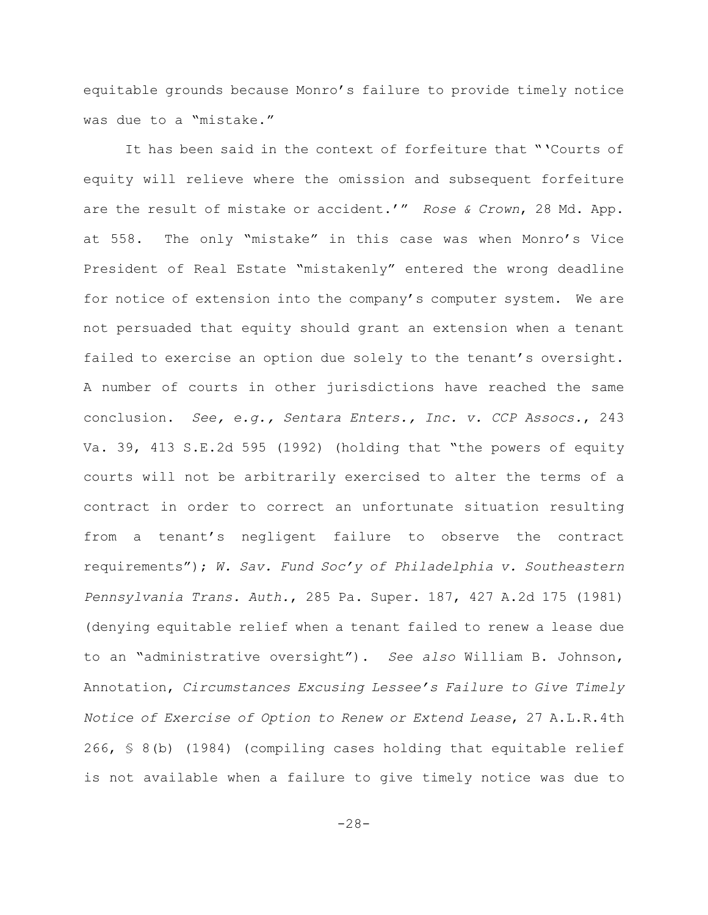equitable grounds because Monro's failure to provide timely notice was due to a "mistake."

It has been said in the context of forfeiture that "'Courts of equity will relieve where the omission and subsequent forfeiture are the result of mistake or accident.'" *Rose & Crown*, 28 Md. App. at 558. The only "mistake" in this case was when Monro's Vice President of Real Estate "mistakenly" entered the wrong deadline for notice of extension into the company's computer system. We are not persuaded that equity should grant an extension when a tenant failed to exercise an option due solely to the tenant's oversight. A number of courts in other jurisdictions have reached the same conclusion. *See, e.g., Sentara Enters., Inc. v. CCP Assocs.*, 243 Va. 39, 413 S.E.2d 595 (1992) (holding that "the powers of equity courts will not be arbitrarily exercised to alter the terms of a contract in order to correct an unfortunate situation resulting from a tenant's negligent failure to observe the contract requirements"); *W. Sav. Fund Soc'y of Philadelphia v. Southeastern Pennsylvania Trans. Auth.*, 285 Pa. Super. 187, 427 A.2d 175 (1981) (denying equitable relief when a tenant failed to renew a lease due to an "administrative oversight"). *See also* William B. Johnson, Annotation, *Circumstances Excusing Lessee's Failure to Give Timely Notice of Exercise of Option to Renew or Extend Lease*, 27 A.L.R.4th 266, § 8(b) (1984) (compiling cases holding that equitable relief is not available when a failure to give timely notice was due to

-28-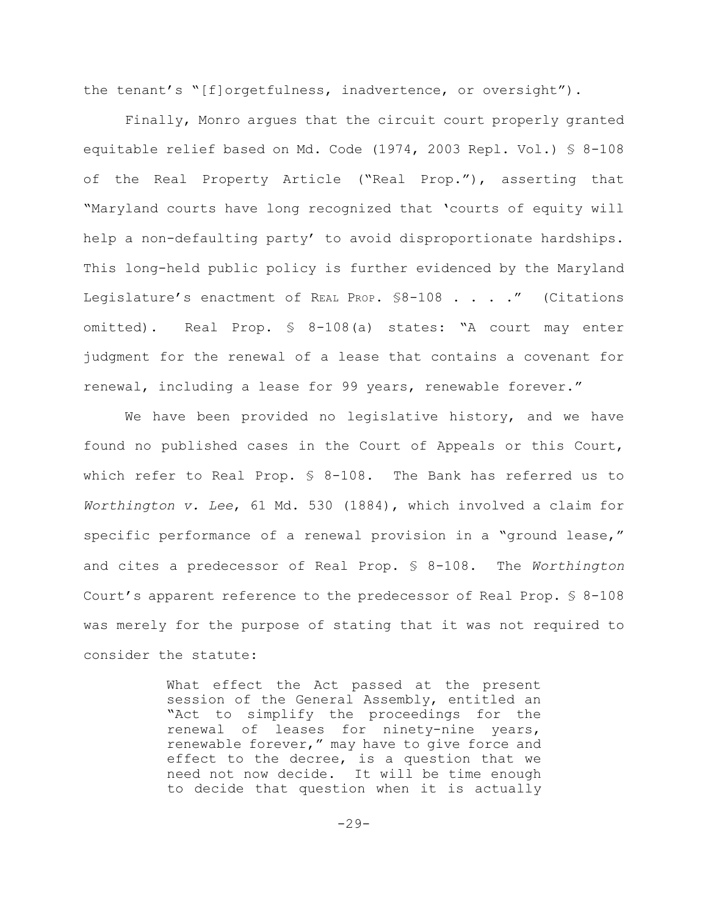the tenant's "[f]orgetfulness, inadvertence, or oversight").

Finally, Monro argues that the circuit court properly granted equitable relief based on Md. Code (1974, 2003 Repl. Vol.) § 8-108 of the Real Property Article ("Real Prop."), asserting that "Maryland courts have long recognized that 'courts of equity will help a non-defaulting party' to avoid disproportionate hardships. This long-held public policy is further evidenced by the Maryland Legislature's enactment of REAL PROP. \$8-108 . . . ." (Citations omitted). Real Prop. § 8-108(a) states: "A court may enter judgment for the renewal of a lease that contains a covenant for renewal, including a lease for 99 years, renewable forever."

We have been provided no legislative history, and we have found no published cases in the Court of Appeals or this Court, which refer to Real Prop. § 8-108. The Bank has referred us to *Worthington v. Lee*, 61 Md. 530 (1884), which involved a claim for specific performance of a renewal provision in a "ground lease," and cites a predecessor of Real Prop. § 8-108. The *Worthington* Court's apparent reference to the predecessor of Real Prop. § 8-108 was merely for the purpose of stating that it was not required to consider the statute:

> What effect the Act passed at the present session of the General Assembly, entitled an "Act to simplify the proceedings for the renewal of leases for ninety-nine years, renewable forever," may have to give force and effect to the decree, is a question that we need not now decide. It will be time enough to decide that question when it is actually

> > $-29-$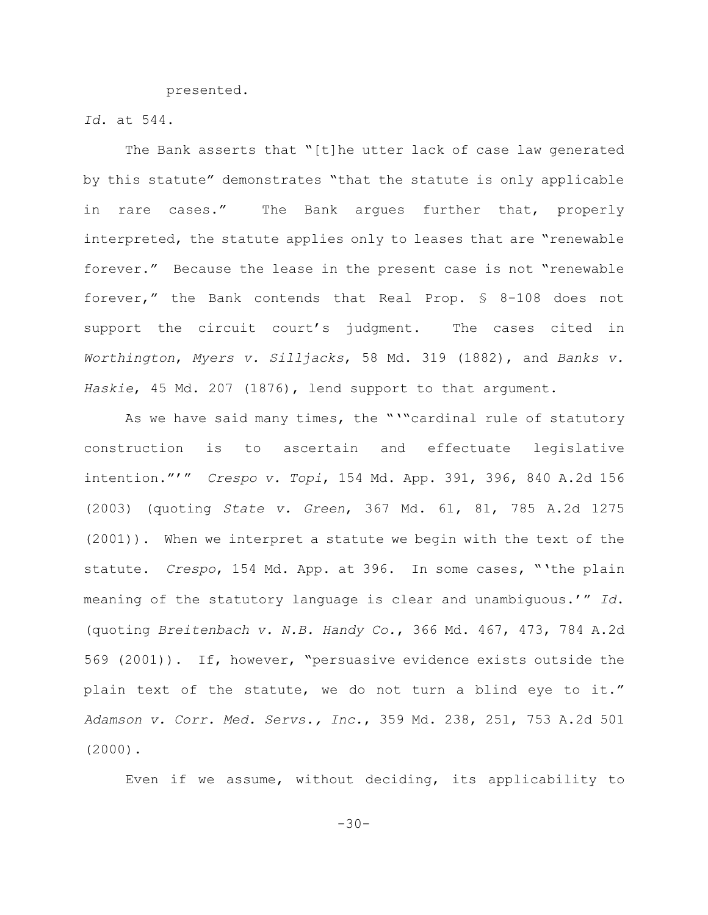presented.

*Id*. at 544.

The Bank asserts that "[t]he utter lack of case law generated by this statute" demonstrates "that the statute is only applicable in rare cases." The Bank argues further that, properly interpreted, the statute applies only to leases that are "renewable forever." Because the lease in the present case is not "renewable forever," the Bank contends that Real Prop. § 8-108 does not support the circuit court's judgment. The cases cited in *Worthington*, *Myers v. Silljacks*, 58 Md. 319 (1882), and *Banks v. Haskie*, 45 Md. 207 (1876), lend support to that argument.

As we have said many times, the "'"cardinal rule of statutory construction is to ascertain and effectuate legislative intention."'" *Crespo v. Topi*, 154 Md. App. 391, 396, 840 A.2d 156 (2003) (quoting *State v. Green*, 367 Md. 61, 81, 785 A.2d 1275 (2001)). When we interpret a statute we begin with the text of the statute. *Crespo*, 154 Md. App. at 396. In some cases, "'the plain meaning of the statutory language is clear and unambiguous.'" *Id*. (quoting *Breitenbach v. N.B. Handy Co.*, 366 Md. 467, 473, 784 A.2d 569 (2001)). If, however, "persuasive evidence exists outside the plain text of the statute, we do not turn a blind eye to it." *Adamson v. Corr. Med. Servs., Inc.*, 359 Md. 238, 251, 753 A.2d 501 (2000).

Even if we assume, without deciding, its applicability to

-30-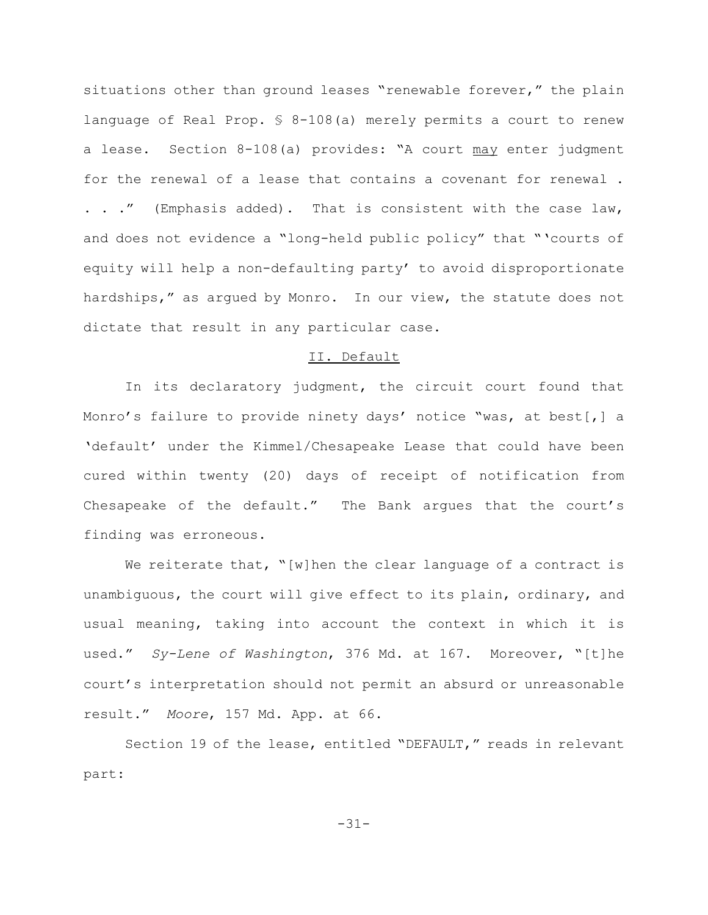situations other than ground leases "renewable forever," the plain language of Real Prop. § 8-108(a) merely permits a court to renew a lease. Section 8-108(a) provides: "A court may enter judgment for the renewal of a lease that contains a covenant for renewal . . . ." (Emphasis added). That is consistent with the case law, and does not evidence a "long-held public policy" that "'courts of equity will help a non-defaulting party' to avoid disproportionate hardships," as argued by Monro. In our view, the statute does not dictate that result in any particular case.

## II. Default

In its declaratory judgment, the circuit court found that Monro's failure to provide ninety days' notice "was, at best[,] a 'default' under the Kimmel/Chesapeake Lease that could have been cured within twenty (20) days of receipt of notification from Chesapeake of the default." The Bank argues that the court's finding was erroneous.

We reiterate that, "[w]hen the clear language of a contract is unambiguous, the court will give effect to its plain, ordinary, and usual meaning, taking into account the context in which it is used." *Sy-Lene of Washington*, 376 Md. at 167. Moreover, "[t]he court's interpretation should not permit an absurd or unreasonable result." *Moore*, 157 Md. App. at 66.

Section 19 of the lease, entitled "DEFAULT," reads in relevant part:

-31-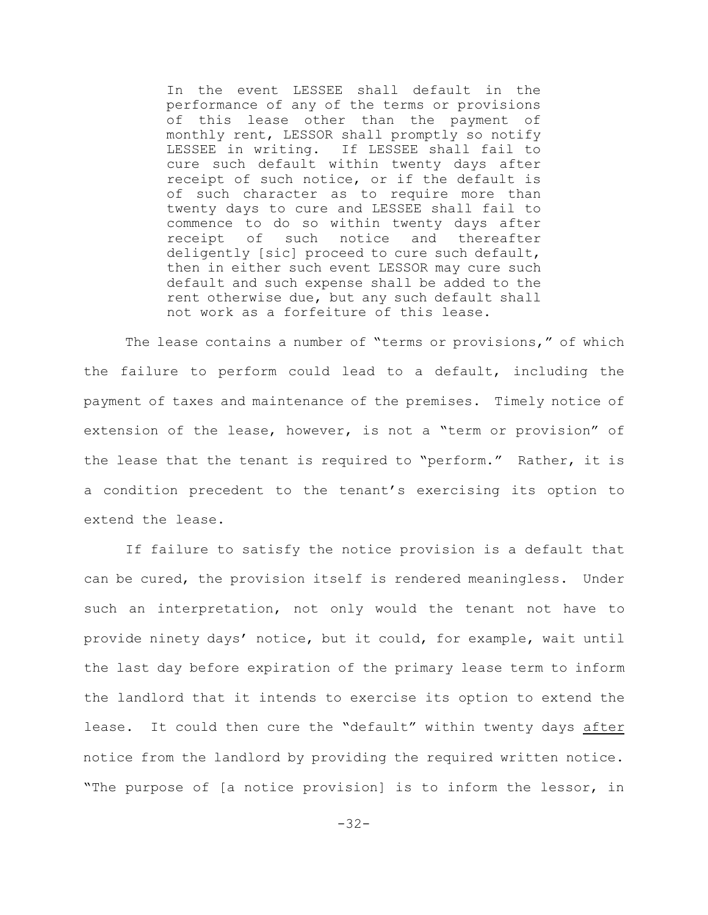In the event LESSEE shall default in the performance of any of the terms or provisions of this lease other than the payment of monthly rent, LESSOR shall promptly so notify LESSEE in writing. If LESSEE shall fail to cure such default within twenty days after receipt of such notice, or if the default is of such character as to require more than twenty days to cure and LESSEE shall fail to commence to do so within twenty days after receipt of such notice and thereafter deligently [sic] proceed to cure such default, then in either such event LESSOR may cure such default and such expense shall be added to the rent otherwise due, but any such default shall not work as a forfeiture of this lease.

The lease contains a number of "terms or provisions," of which the failure to perform could lead to a default, including the payment of taxes and maintenance of the premises. Timely notice of extension of the lease, however, is not a "term or provision" of the lease that the tenant is required to "perform." Rather, it is a condition precedent to the tenant's exercising its option to extend the lease.

If failure to satisfy the notice provision is a default that can be cured, the provision itself is rendered meaningless. Under such an interpretation, not only would the tenant not have to provide ninety days' notice, but it could, for example, wait until the last day before expiration of the primary lease term to inform the landlord that it intends to exercise its option to extend the lease. It could then cure the "default" within twenty days after notice from the landlord by providing the required written notice. "The purpose of [a notice provision] is to inform the lessor, in

-32-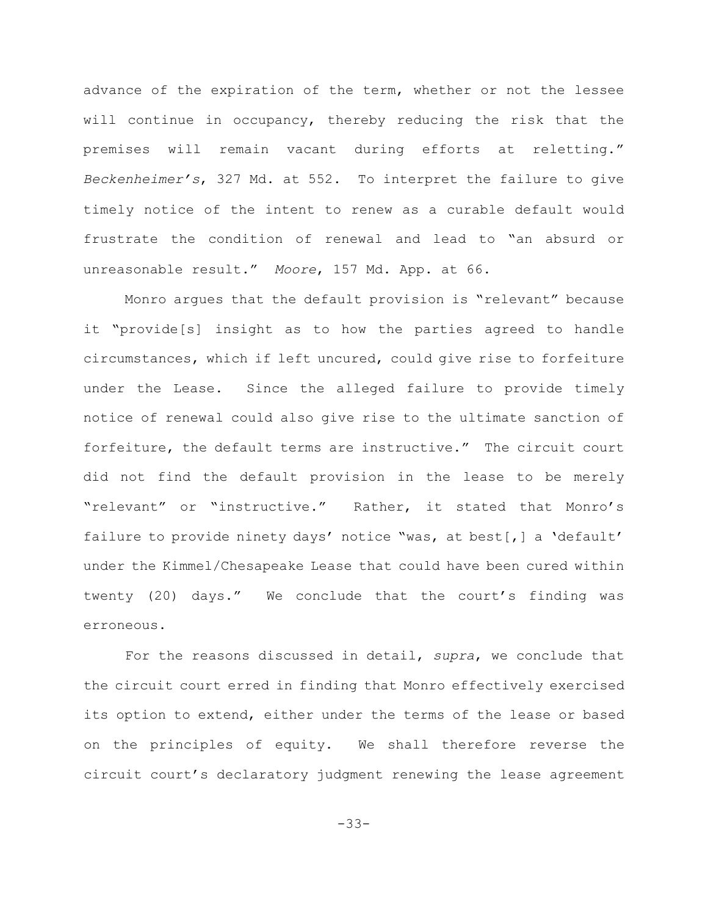advance of the expiration of the term, whether or not the lessee will continue in occupancy, thereby reducing the risk that the premises will remain vacant during efforts at reletting." *Beckenheimer's*, 327 Md. at 552. To interpret the failure to give timely notice of the intent to renew as a curable default would frustrate the condition of renewal and lead to "an absurd or unreasonable result." *Moore*, 157 Md. App. at 66.

Monro argues that the default provision is "relevant" because it "provide[s] insight as to how the parties agreed to handle circumstances, which if left uncured, could give rise to forfeiture under the Lease. Since the alleged failure to provide timely notice of renewal could also give rise to the ultimate sanction of forfeiture, the default terms are instructive." The circuit court did not find the default provision in the lease to be merely "relevant" or "instructive." Rather, it stated that Monro's failure to provide ninety days' notice "was, at best[,] a 'default' under the Kimmel/Chesapeake Lease that could have been cured within twenty (20) days." We conclude that the court's finding was erroneous.

For the reasons discussed in detail, *supra*, we conclude that the circuit court erred in finding that Monro effectively exercised its option to extend, either under the terms of the lease or based on the principles of equity. We shall therefore reverse the circuit court's declaratory judgment renewing the lease agreement

-33-